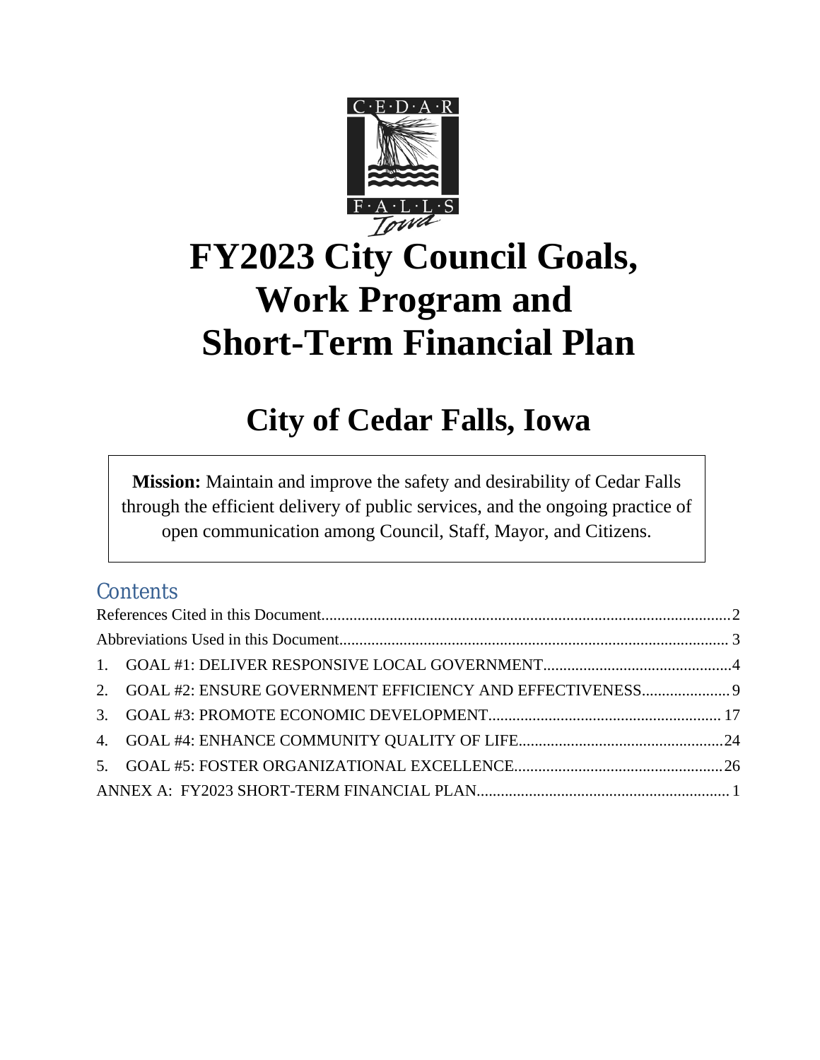

# **FY2023 City Council Goals, Work Program and Short-Term Financial Plan**

# **City of Cedar Falls, Iowa**

**Mission:** Maintain and improve the safety and desirability of Cedar Falls through the efficient delivery of public services, and the ongoing practice of open communication among Council, Staff, Mayor, and Citizens.

## **Contents**

|  | 2. GOAL #2: ENSURE GOVERNMENT EFFICIENCY AND EFFECTIVENESS 9 |  |  |  |
|--|--------------------------------------------------------------|--|--|--|
|  |                                                              |  |  |  |
|  |                                                              |  |  |  |
|  |                                                              |  |  |  |
|  |                                                              |  |  |  |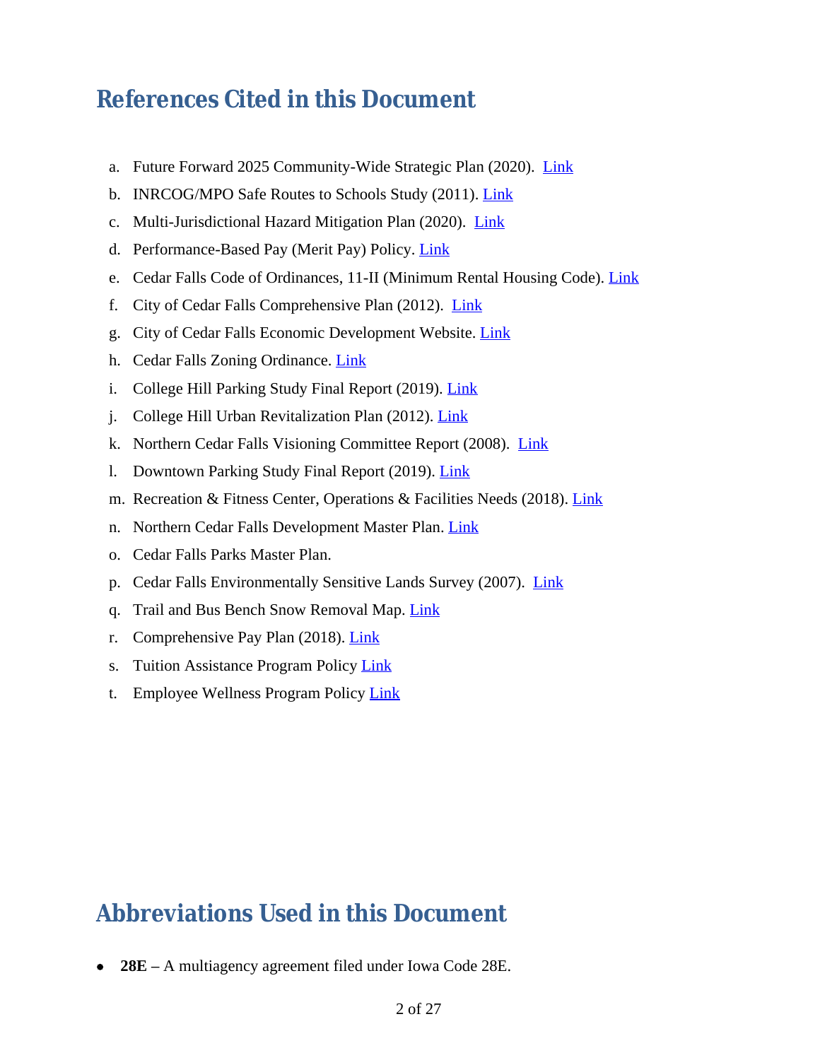# <span id="page-1-0"></span>**References Cited in this Document**

- a. Future Forward 2025 Community-Wide Strategic Plan (2020). [Link](https://docs.google.com/document/d/1M7UbLt6wOJjfpcIh4eWKHDwD2dfBzB6aqoy1ZT6RJa4/edit)
- b. INRCOG/MPO Safe Routes to Schools Study (2011). [Link](http://www.inrcog.org/pdf/Safe_Routes_to_School_Study.pdf)
- c. Multi-Jurisdictional Hazard Mitigation Plan (2020). [Link](http://www.cedarfalls.com/DocumentCenter/View/740/2015-Multi-Jurisdictional-Hazard-Mitigation-Plan-Update)
- d. Performance-Based Pay (Merit Pay) Policy. *Link*
- e. Cedar Falls Code of Ordinances, 11-II (Minimum Rental Housing Code). [Link](https://library.municode.com/ia/cedar_falls/codes/code_of_ordinances?nodeId=COOR_CH11HO_ARTIIMIREUSCO_DIV5OWRE)
- f. City of Cedar Falls Comprehensive Plan (2012). [Link](http://www.cedarfalls.com/DocumentCenter/View/2418/2012-Cedar-Falls-Comprehensive-Plan?bidId=)
- g. City of Cedar Falls Economic Development Website. [Link](https://selectcedarfallsia.com)
- h. Cedar Falls Zoning Ordinance. [Link](https://library.municode.com/ia/cedar_falls/codes/code_of_ordinances?nodeId=COOR_CH26ZO)
- i. College Hill Parking Study Final Report (2019). [Link](https://www.cedarfalls.com/DocumentCenter/View/9194/Cedar-Falls-College-Hill-Parking-Study-Final-Report)
- j. College Hill Urban Revitalization Plan (2012). [Link](http://www.cedarfalls.com/DocumentCenter/View/2675/College-Hill-Urban-Revitalization-Plan)
- k. Northern Cedar Falls Visioning Committee Report (2008). [Link](https://robgreeniowa.com/sites/default/files/Northern%20CF%20Visioning%20Committee%20report.pdf)
- 1. Downtown Parking Study Final Report (2019). [Link](https://www.cedarfalls.com/DocumentCenter/View/8610/Cedar-Falls-Parking-Study-Final-Report)
- m. Recreation & Fitness Center, Operations & Facilities Needs (2018). [Link](https://www.cedarfalls.com/DocumentCenter/View/10688/2019-11-07-Cedar-Falls-Rec-Ctr-Ops-Report)
- n. Northern Cedar Falls Development Master Plan. [Link](https://www.cedarfalls.com/DocumentCenter/View/10684/Northern-CF-Visioning-Committee-report)
- o. Cedar Falls Parks Master Plan.
- p. Cedar Falls Environmentally Sensitive Lands Survey (2007). [Link](http://www.cedarfalls.com/DocumentCenter/View/253/Environmentally-Sensitive-Lands-Survey-Report?bidId=)
- q. Trail and Bus Bench Snow Removal Map. [Link](https://www.cedarfalls.com/DocumentCenter/View/9257/Snow-Removal)
- r. Comprehensive Pay Plan (2018). [Link](https://www.cedarfalls.com/DocumentCenter/View/10695/Pay-Plan-Study)
- s. Tuition Assistance Program Policy [Link](http://www.cedarfalls.com/DocumentCenter/View/10692/Tuition-Assistance-Program-Policy)
- t. Employee Wellness Program Policy [Link](http://www.cedarfalls.com/DocumentCenter/View/10693/Employee-Wellness-Program)

# <span id="page-1-1"></span>**Abbreviations Used in this Document**

**28E –** A multiagency agreement filed under Iowa Code 28E.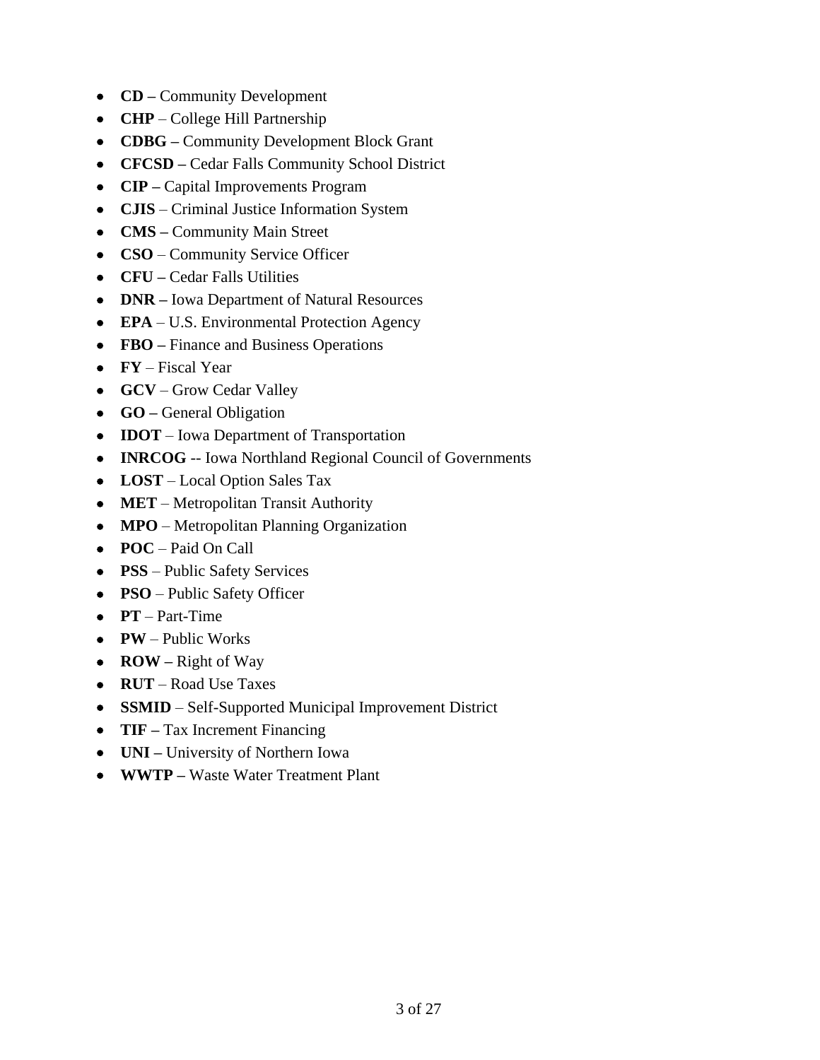- **CD –** Community Development
- **CHP** College Hill Partnership
- **CDBG –** Community Development Block Grant
- **CFCSD –** Cedar Falls Community School District
- **CIP –** Capital Improvements Program
- **CJIS** Criminal Justice Information System
- **CMS –** Community Main Street
- **CSO**  Community Service Officer
- **CFU –** Cedar Falls Utilities
- **DNR –** Iowa Department of Natural Resources
- **EPA** U.S. Environmental Protection Agency
- **FBO –** Finance and Business Operations
- **FY**  Fiscal Year
- **GCV** Grow Cedar Valley
- **GO** General Obligation
- **IDOT** Iowa Department of Transportation
- **INRCOG** -- Iowa Northland Regional Council of Governments
- **LOST** Local Option Sales Tax
- **MET** Metropolitan Transit Authority
- **MPO** Metropolitan Planning Organization
- **POC** Paid On Call
- **PSS**  Public Safety Services
- **PSO** Public Safety Officer
- **PT** Part-Time
- **PW** Public Works
- **ROW** Right of Way
- **RUT** Road Use Taxes
- **SSMID** Self-Supported Municipal Improvement District
- **TIF** Tax Increment Financing
- **UNI –** University of Northern Iowa
- **WWTP –** Waste Water Treatment Plant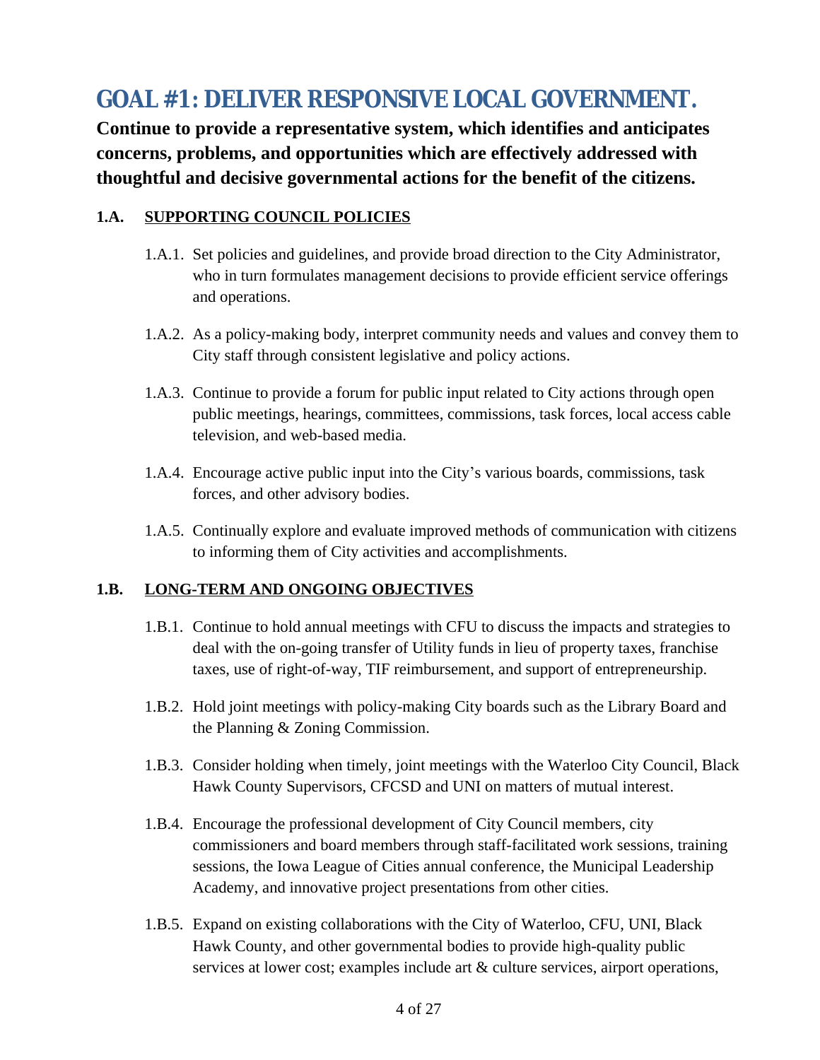# <span id="page-3-0"></span>**1. GOAL #1: DELIVER RESPONSIVE LOCAL GOVERNMENT.**

**Continue to provide a representative system, which identifies and anticipates concerns, problems, and opportunities which are effectively addressed with thoughtful and decisive governmental actions for the benefit of the citizens.**

#### **1.A. SUPPORTING COUNCIL POLICIES**

- 1.A.1. Set policies and guidelines, and provide broad direction to the City Administrator, who in turn formulates management decisions to provide efficient service offerings and operations.
- 1.A.2. As a policy-making body, interpret community needs and values and convey them to City staff through consistent legislative and policy actions.
- 1.A.3. Continue to provide a forum for public input related to City actions through open public meetings, hearings, committees, commissions, task forces, local access cable television, and web-based media.
- 1.A.4. Encourage active public input into the City's various boards, commissions, task forces, and other advisory bodies.
- 1.A.5. Continually explore and evaluate improved methods of communication with citizens to informing them of City activities and accomplishments.

### **1.B. LONG-TERM AND ONGOING OBJECTIVES**

- 1.B.1. Continue to hold annual meetings with CFU to discuss the impacts and strategies to deal with the on-going transfer of Utility funds in lieu of property taxes, franchise taxes, use of right-of-way, TIF reimbursement, and support of entrepreneurship.
- 1.B.2. Hold joint meetings with policy-making City boards such as the Library Board and the Planning & Zoning Commission.
- 1.B.3. Consider holding when timely, joint meetings with the Waterloo City Council, Black Hawk County Supervisors, CFCSD and UNI on matters of mutual interest.
- 1.B.4. Encourage the professional development of City Council members, city commissioners and board members through staff-facilitated work sessions, training sessions, the Iowa League of Cities annual conference, the Municipal Leadership Academy, and innovative project presentations from other cities.
- 1.B.5. Expand on existing collaborations with the City of Waterloo, CFU, UNI, Black Hawk County, and other governmental bodies to provide high-quality public services at lower cost; examples include art & culture services, airport operations,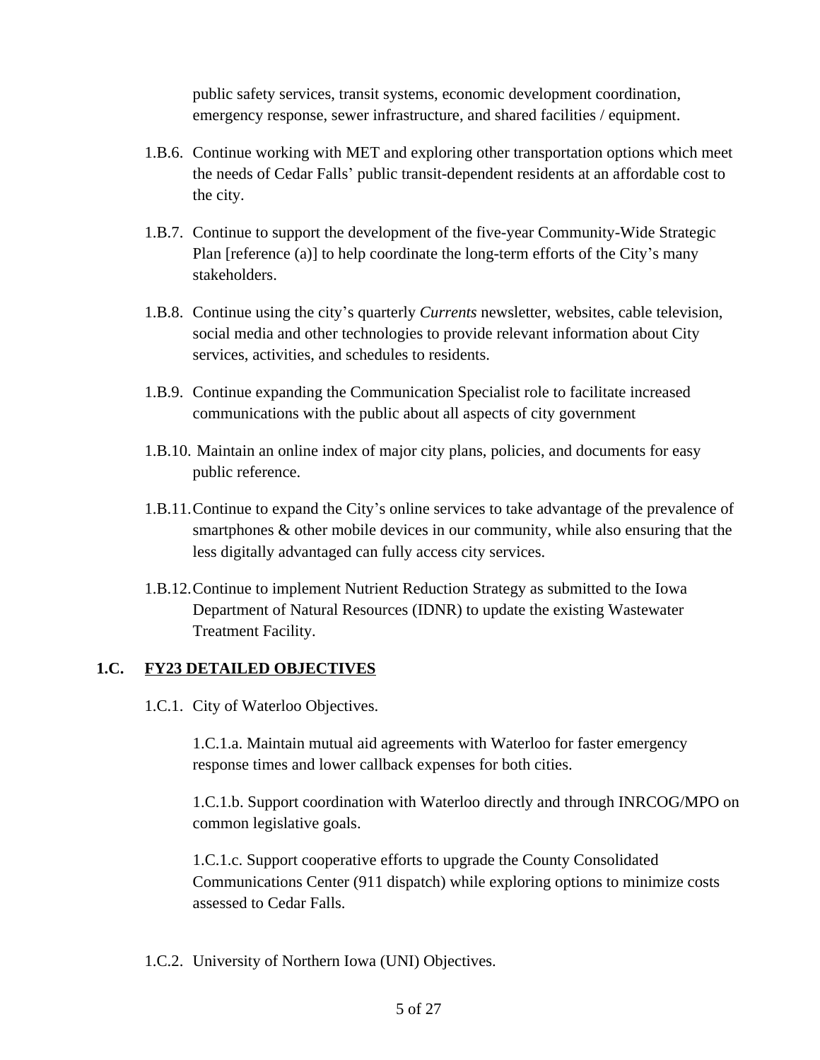public safety services, transit systems, economic development coordination, emergency response, sewer infrastructure, and shared facilities / equipment.

- 1.B.6. Continue working with MET and exploring other transportation options which meet the needs of Cedar Falls' public transit-dependent residents at an affordable cost to the city.
- 1.B.7. Continue to support the development of the five-year Community-Wide Strategic Plan [reference (a)] to help coordinate the long-term efforts of the City's many stakeholders.
- 1.B.8. Continue using the city's quarterly *Currents* newsletter, websites, cable television, social media and other technologies to provide relevant information about City services, activities, and schedules to residents.
- 1.B.9. Continue expanding the Communication Specialist role to facilitate increased communications with the public about all aspects of city government
- 1.B.10. Maintain an online index of major city plans, policies, and documents for easy public reference.
- 1.B.11.Continue to expand the City's online services to take advantage of the prevalence of smartphones & other mobile devices in our community, while also ensuring that the less digitally advantaged can fully access city services.
- 1.B.12.Continue to implement Nutrient Reduction Strategy as submitted to the Iowa Department of Natural Resources (IDNR) to update the existing Wastewater Treatment Facility.

#### **1.C. FY23 DETAILED OBJECTIVES**

1.C.1. City of Waterloo Objectives.

1.C.1.a. Maintain mutual aid agreements with Waterloo for faster emergency response times and lower callback expenses for both cities.

1.C.1.b. Support coordination with Waterloo directly and through INRCOG/MPO on common legislative goals.

1.C.1.c. Support cooperative efforts to upgrade the County Consolidated Communications Center (911 dispatch) while exploring options to minimize costs assessed to Cedar Falls.

1.C.2. University of Northern Iowa (UNI) Objectives.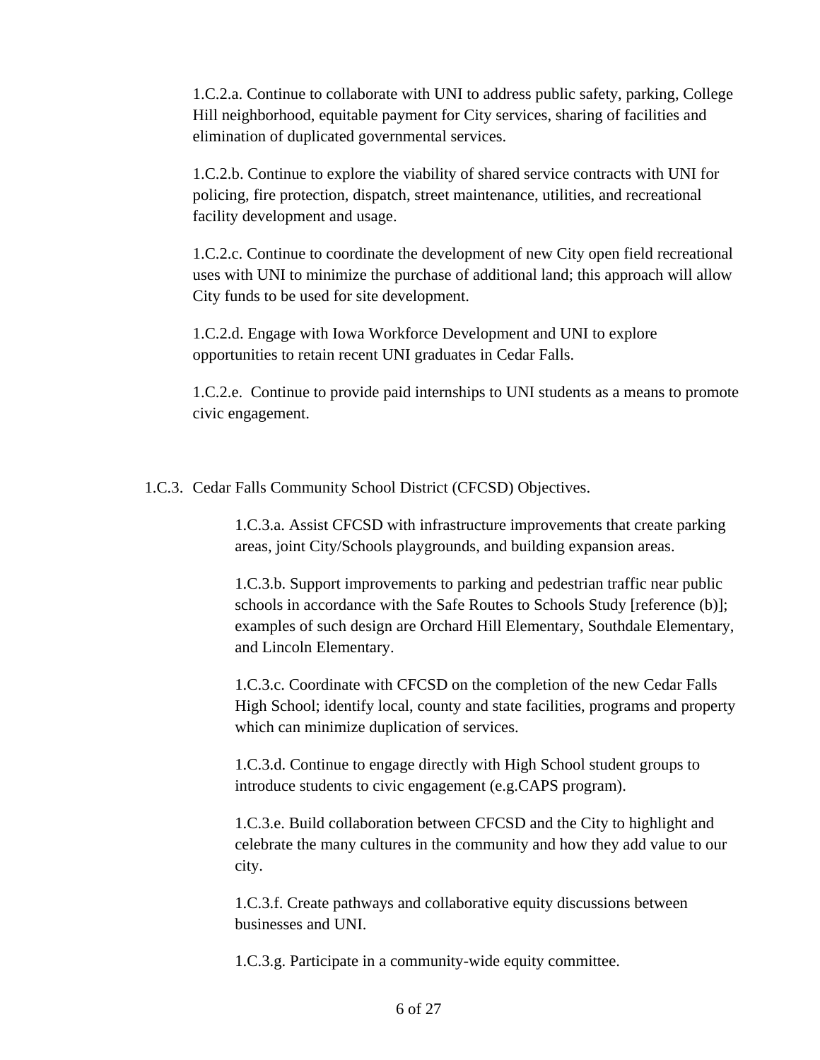1.C.2.a. Continue to collaborate with UNI to address public safety, parking, College Hill neighborhood, equitable payment for City services, sharing of facilities and elimination of duplicated governmental services.

1.C.2.b. Continue to explore the viability of shared service contracts with UNI for policing, fire protection, dispatch, street maintenance, utilities, and recreational facility development and usage.

1.C.2.c. Continue to coordinate the development of new City open field recreational uses with UNI to minimize the purchase of additional land; this approach will allow City funds to be used for site development.

1.C.2.d. Engage with Iowa Workforce Development and UNI to explore opportunities to retain recent UNI graduates in Cedar Falls.

1.C.2.e. Continue to provide paid internships to UNI students as a means to promote civic engagement.

1.C.3. Cedar Falls Community School District (CFCSD) Objectives.

1.C.3.a. Assist CFCSD with infrastructure improvements that create parking areas, joint City/Schools playgrounds, and building expansion areas.

1.C.3.b. Support improvements to parking and pedestrian traffic near public schools in accordance with the Safe Routes to Schools Study [reference (b)]; examples of such design are Orchard Hill Elementary, Southdale Elementary, and Lincoln Elementary.

1.C.3.c. Coordinate with CFCSD on the completion of the new Cedar Falls High School; identify local, county and state facilities, programs and property which can minimize duplication of services.

1.C.3.d. Continue to engage directly with High School student groups to introduce students to civic engagement (e.g.CAPS program).

1.C.3.e. Build collaboration between CFCSD and the City to highlight and celebrate the many cultures in the community and how they add value to our city.

1.C.3.f. Create pathways and collaborative equity discussions between businesses and UNI.

1.C.3.g. Participate in a community-wide equity committee.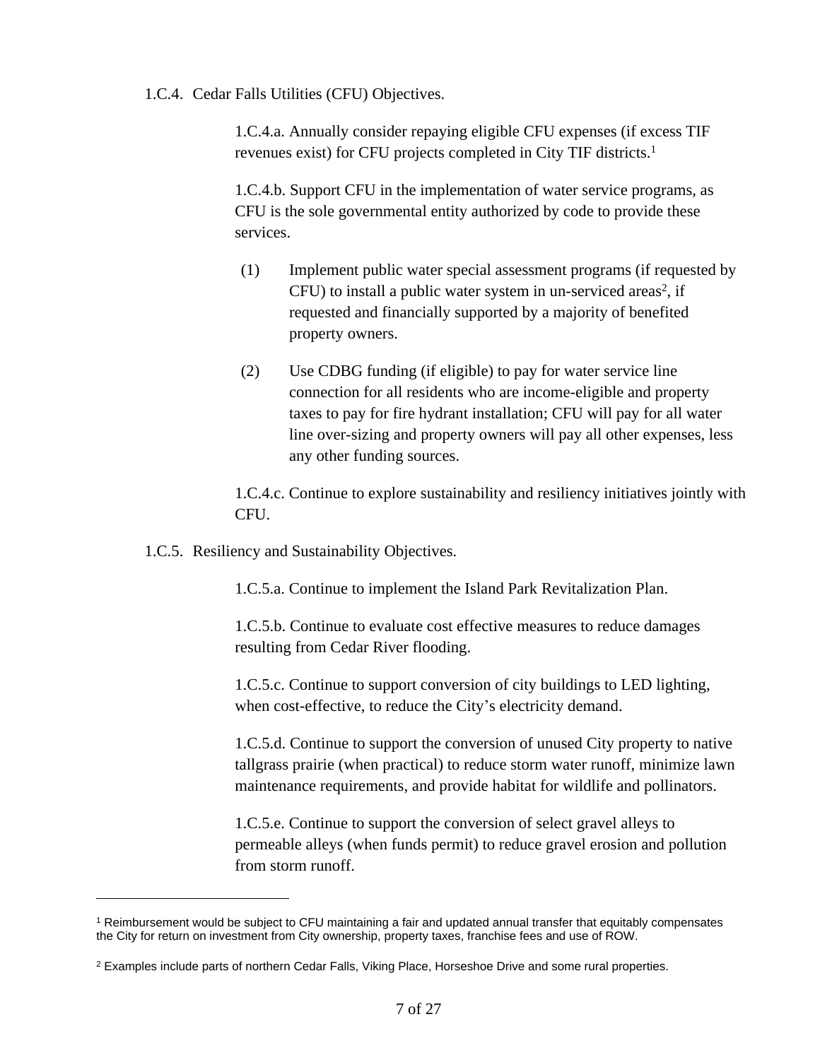1.C.4. Cedar Falls Utilities (CFU) Objectives.

1.C.4.a. Annually consider repaying eligible CFU expenses (if excess TIF revenues exist) for CFU projects completed in City TIF districts. 1

1.C.4.b. Support CFU in the implementation of water service programs, as CFU is the sole governmental entity authorized by code to provide these services.

- (1) Implement public water special assessment programs (if requested by CFU) to install a public water system in un-serviced areas<sup>2</sup>, if requested and financially supported by a majority of benefited property owners.
- (2) Use CDBG funding (if eligible) to pay for water service line connection for all residents who are income-eligible and property taxes to pay for fire hydrant installation; CFU will pay for all water line over-sizing and property owners will pay all other expenses, less any other funding sources.

1.C.4.c. Continue to explore sustainability and resiliency initiatives jointly with CFU.

1.C.5. Resiliency and Sustainability Objectives.

1.C.5.a. Continue to implement the Island Park Revitalization Plan.

1.C.5.b. Continue to evaluate cost effective measures to reduce damages resulting from Cedar River flooding.

1.C.5.c. Continue to support conversion of city buildings to LED lighting, when cost-effective, to reduce the City's electricity demand.

1.C.5.d. Continue to support the conversion of unused City property to native tallgrass prairie (when practical) to reduce storm water runoff, minimize lawn maintenance requirements, and provide habitat for wildlife and pollinators.

1.C.5.e. Continue to support the conversion of select gravel alleys to permeable alleys (when funds permit) to reduce gravel erosion and pollution from storm runoff.

<sup>1</sup> Reimbursement would be subject to CFU maintaining a fair and updated annual transfer that equitably compensates the City for return on investment from City ownership, property taxes, franchise fees and use of ROW.

<sup>&</sup>lt;sup>2</sup> Examples include parts of northern Cedar Falls, Viking Place, Horseshoe Drive and some rural properties.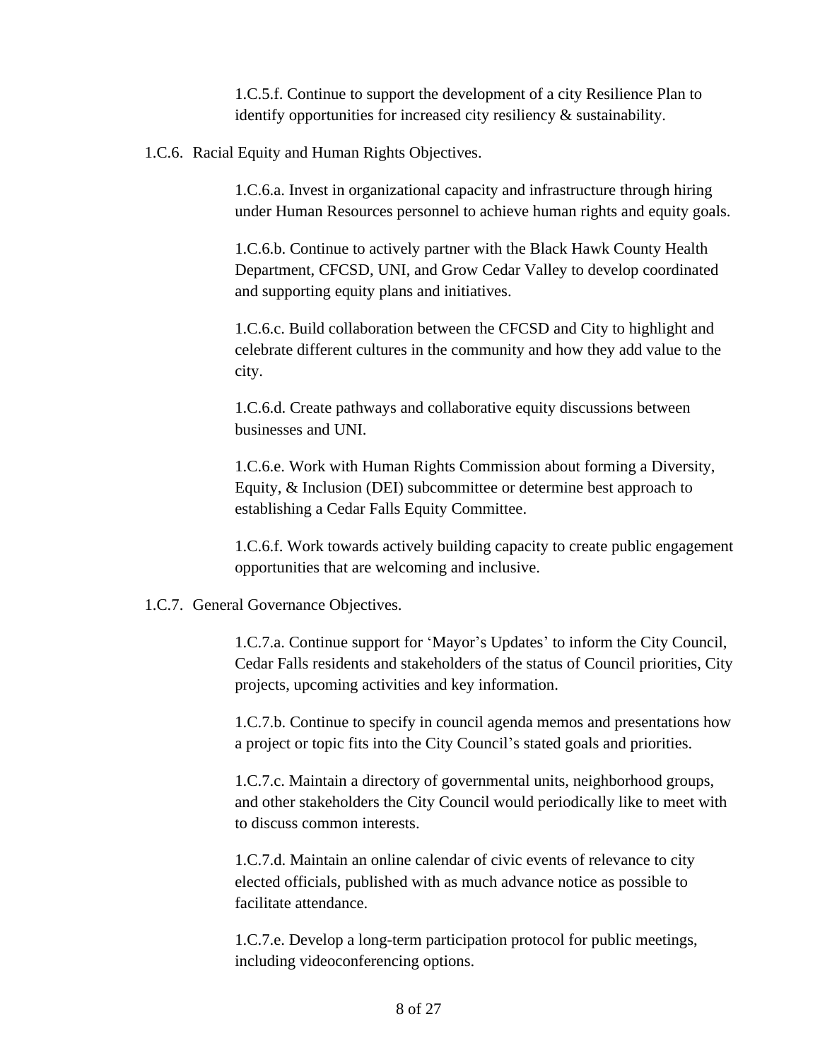1.C.5.f. Continue to support the development of a city Resilience Plan to identify opportunities for increased city resiliency & sustainability.

1.C.6. Racial Equity and Human Rights Objectives.

1.C.6.a. Invest in organizational capacity and infrastructure through hiring under Human Resources personnel to achieve human rights and equity goals.

1.C.6.b. Continue to actively partner with the Black Hawk County Health Department, CFCSD, UNI, and Grow Cedar Valley to develop coordinated and supporting equity plans and initiatives.

1.C.6.c. Build collaboration between the CFCSD and City to highlight and celebrate different cultures in the community and how they add value to the city.

1.C.6.d. Create pathways and collaborative equity discussions between businesses and UNI.

1.C.6.e. Work with Human Rights Commission about forming a Diversity, Equity, & Inclusion (DEI) subcommittee or determine best approach to establishing a Cedar Falls Equity Committee.

1.C.6.f. Work towards actively building capacity to create public engagement opportunities that are welcoming and inclusive.

#### 1.C.7. General Governance Objectives.

1.C.7.a. Continue support for 'Mayor's Updates' to inform the City Council, Cedar Falls residents and stakeholders of the status of Council priorities, City projects, upcoming activities and key information.

1.C.7.b. Continue to specify in council agenda memos and presentations how a project or topic fits into the City Council's stated goals and priorities.

1.C.7.c. Maintain a directory of governmental units, neighborhood groups, and other stakeholders the City Council would periodically like to meet with to discuss common interests.

1.C.7.d. Maintain an online calendar of civic events of relevance to city elected officials, published with as much advance notice as possible to facilitate attendance.

1.C.7.e. Develop a long-term participation protocol for public meetings, including videoconferencing options.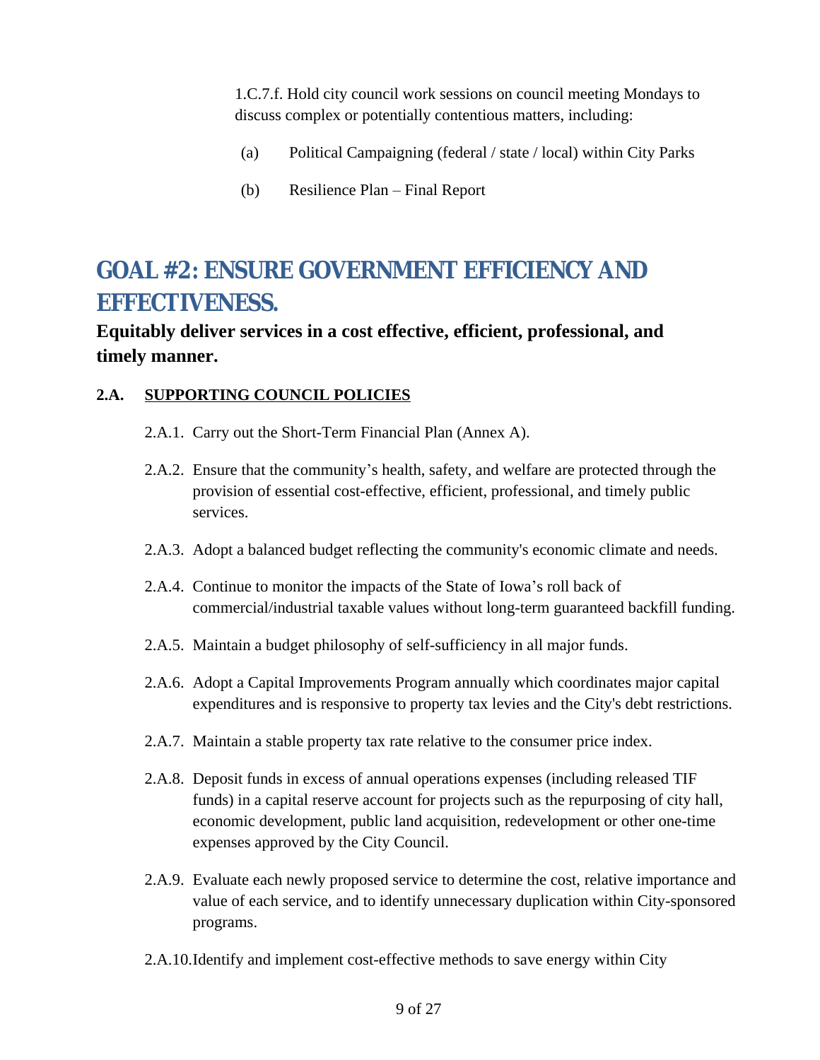1.C.7.f. Hold city council work sessions on council meeting Mondays to discuss complex or potentially contentious matters, including:

- (a) Political Campaigning (federal / state / local) within City Parks
- (b) Resilience Plan Final Report

# <span id="page-8-0"></span>**2. GOAL #2: ENSURE GOVERNMENT EFFICIENCY AND EFFECTIVENESS.**

### **Equitably deliver services in a cost effective, efficient, professional, and timely manner.**

### **2.A. SUPPORTING COUNCIL POLICIES**

- 2.A.1. Carry out the Short-Term Financial Plan (Annex A).
- 2.A.2. Ensure that the community's health, safety, and welfare are protected through the provision of essential cost-effective, efficient, professional, and timely public services.
- 2.A.3. Adopt a balanced budget reflecting the community's economic climate and needs.
- 2.A.4. Continue to monitor the impacts of the State of Iowa's roll back of commercial/industrial taxable values without long-term guaranteed backfill funding.
- 2.A.5. Maintain a budget philosophy of self-sufficiency in all major funds.
- 2.A.6. Adopt a Capital Improvements Program annually which coordinates major capital expenditures and is responsive to property tax levies and the City's debt restrictions.
- 2.A.7. Maintain a stable property tax rate relative to the consumer price index.
- 2.A.8. Deposit funds in excess of annual operations expenses (including released TIF funds) in a capital reserve account for projects such as the repurposing of city hall, economic development, public land acquisition, redevelopment or other one-time expenses approved by the City Council.
- 2.A.9. Evaluate each newly proposed service to determine the cost, relative importance and value of each service, and to identify unnecessary duplication within City-sponsored programs.
- 2.A.10.Identify and implement cost-effective methods to save energy within City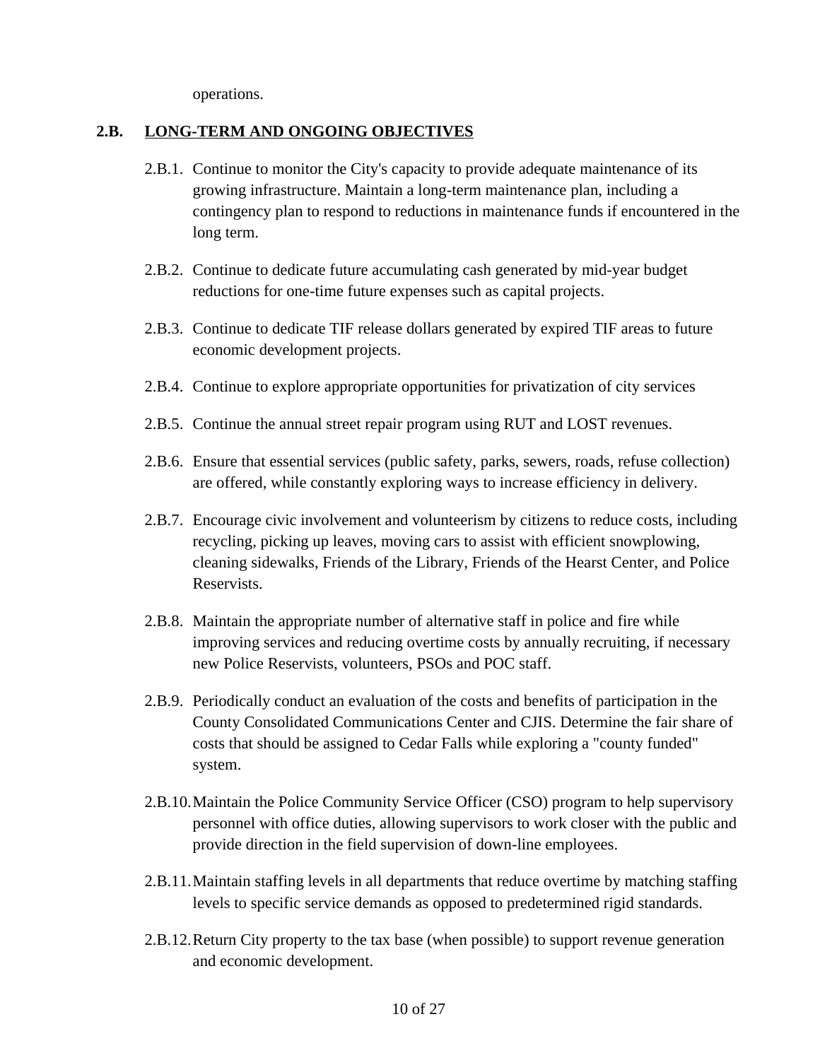operations.

#### **2.B. LONG-TERM AND ONGOING OBJECTIVES**

- 2.B.1. Continue to monitor the City's capacity to provide adequate maintenance of its growing infrastructure. Maintain a long-term maintenance plan, including a contingency plan to respond to reductions in maintenance funds if encountered in the long term.
- 2.B.2. Continue to dedicate future accumulating cash generated by mid-year budget reductions for one-time future expenses such as capital projects.
- 2.B.3. Continue to dedicate TIF release dollars generated by expired TIF areas to future economic development projects.
- 2.B.4. Continue to explore appropriate opportunities for privatization of city services
- 2.B.5. Continue the annual street repair program using RUT and LOST revenues.
- 2.B.6. Ensure that essential services (public safety, parks, sewers, roads, refuse collection) are offered, while constantly exploring ways to increase efficiency in delivery.
- 2.B.7. Encourage civic involvement and volunteerism by citizens to reduce costs, including recycling, picking up leaves, moving cars to assist with efficient snowplowing, cleaning sidewalks, Friends of the Library, Friends of the Hearst Center, and Police Reservists.
- 2.B.8. Maintain the appropriate number of alternative staff in police and fire while improving services and reducing overtime costs by annually recruiting, if necessary new Police Reservists, volunteers, PSOs and POC staff.
- 2.B.9. Periodically conduct an evaluation of the costs and benefits of participation in the County Consolidated Communications Center and CJIS. Determine the fair share of costs that should be assigned to Cedar Falls while exploring a "county funded" system.
- 2.B.10.Maintain the Police Community Service Officer (CSO) program to help supervisory personnel with office duties, allowing supervisors to work closer with the public and provide direction in the field supervision of down-line employees.
- 2.B.11.Maintain staffing levels in all departments that reduce overtime by matching staffing levels to specific service demands as opposed to predetermined rigid standards.
- 2.B.12.Return City property to the tax base (when possible) to support revenue generation and economic development.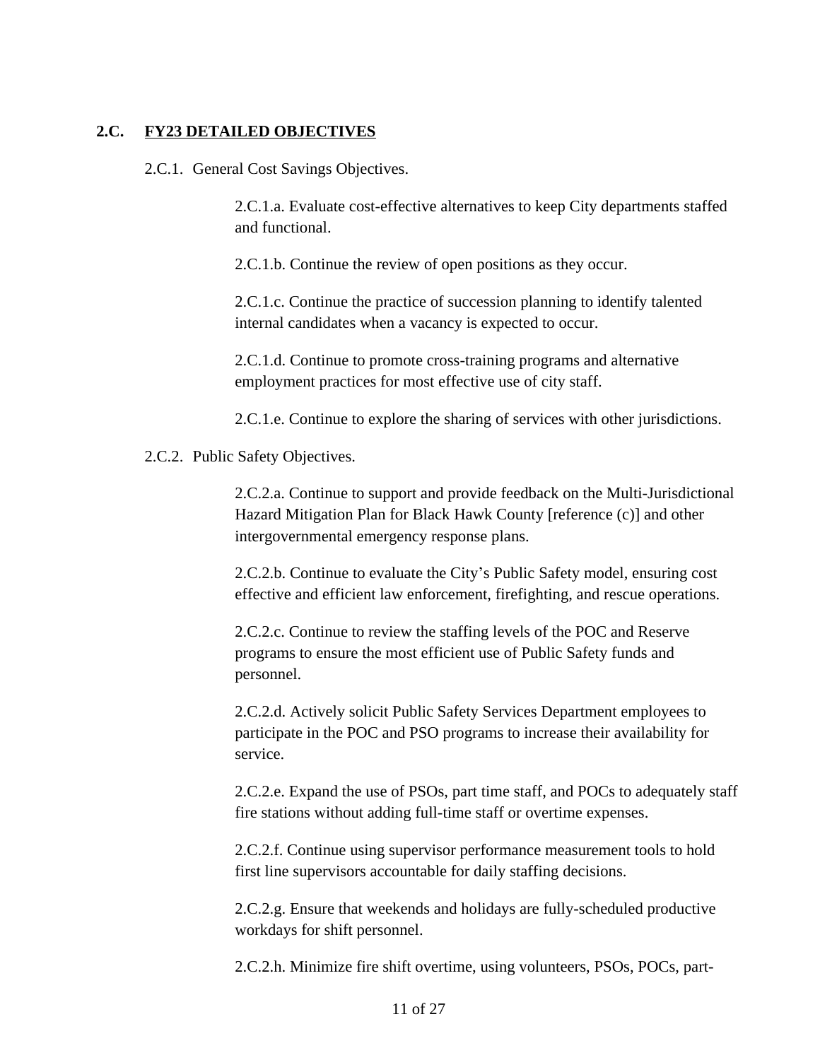#### **2.C. FY23 DETAILED OBJECTIVES**

2.C.1. General Cost Savings Objectives.

2.C.1.a. Evaluate cost-effective alternatives to keep City departments staffed and functional.

2.C.1.b. Continue the review of open positions as they occur.

2.C.1.c. Continue the practice of succession planning to identify talented internal candidates when a vacancy is expected to occur.

2.C.1.d. Continue to promote cross-training programs and alternative employment practices for most effective use of city staff.

2.C.1.e. Continue to explore the sharing of services with other jurisdictions.

2.C.2. Public Safety Objectives.

2.C.2.a. Continue to support and provide feedback on the Multi-Jurisdictional Hazard Mitigation Plan for Black Hawk County [reference (c)] and other intergovernmental emergency response plans.

2.C.2.b. Continue to evaluate the City's Public Safety model, ensuring cost effective and efficient law enforcement, firefighting, and rescue operations.

2.C.2.c. Continue to review the staffing levels of the POC and Reserve programs to ensure the most efficient use of Public Safety funds and personnel.

2.C.2.d. Actively solicit Public Safety Services Department employees to participate in the POC and PSO programs to increase their availability for service.

2.C.2.e. Expand the use of PSOs, part time staff, and POCs to adequately staff fire stations without adding full-time staff or overtime expenses.

2.C.2.f. Continue using supervisor performance measurement tools to hold first line supervisors accountable for daily staffing decisions.

2.C.2.g. Ensure that weekends and holidays are fully-scheduled productive workdays for shift personnel.

2.C.2.h. Minimize fire shift overtime, using volunteers, PSOs, POCs, part-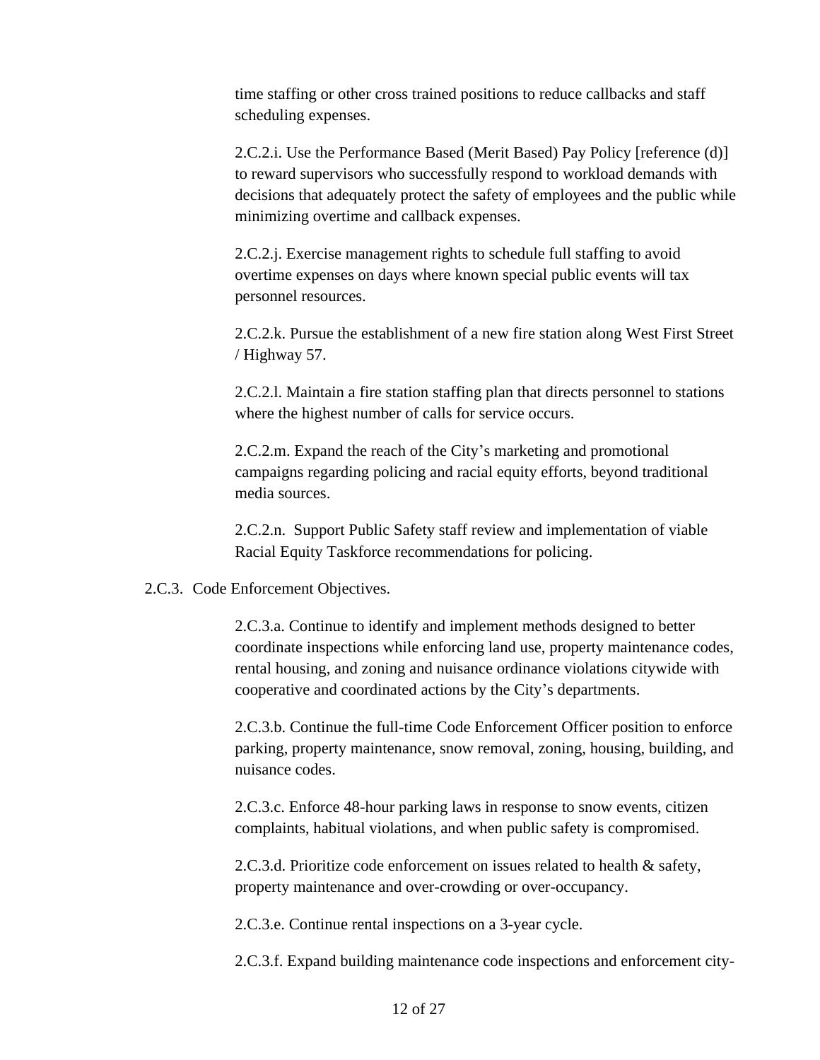time staffing or other cross trained positions to reduce callbacks and staff scheduling expenses.

2.C.2.i. Use the Performance Based (Merit Based) Pay Policy [reference (d)] to reward supervisors who successfully respond to workload demands with decisions that adequately protect the safety of employees and the public while minimizing overtime and callback expenses.

2.C.2.j. Exercise management rights to schedule full staffing to avoid overtime expenses on days where known special public events will tax personnel resources.

2.C.2.k. Pursue the establishment of a new fire station along West First Street / Highway 57.

2.C.2.l. Maintain a fire station staffing plan that directs personnel to stations where the highest number of calls for service occurs.

2.C.2.m. Expand the reach of the City's marketing and promotional campaigns regarding policing and racial equity efforts, beyond traditional media sources.

2.C.2.n. Support Public Safety staff review and implementation of viable Racial Equity Taskforce recommendations for policing.

#### 2.C.3. Code Enforcement Objectives.

2.C.3.a. Continue to identify and implement methods designed to better coordinate inspections while enforcing land use, property maintenance codes, rental housing, and zoning and nuisance ordinance violations citywide with cooperative and coordinated actions by the City's departments.

2.C.3.b. Continue the full-time Code Enforcement Officer position to enforce parking, property maintenance, snow removal, zoning, housing, building, and nuisance codes.

2.C.3.c. Enforce 48-hour parking laws in response to snow events, citizen complaints, habitual violations, and when public safety is compromised.

2.C.3.d. Prioritize code enforcement on issues related to health & safety, property maintenance and over-crowding or over-occupancy.

2.C.3.e. Continue rental inspections on a 3-year cycle.

2.C.3.f. Expand building maintenance code inspections and enforcement city-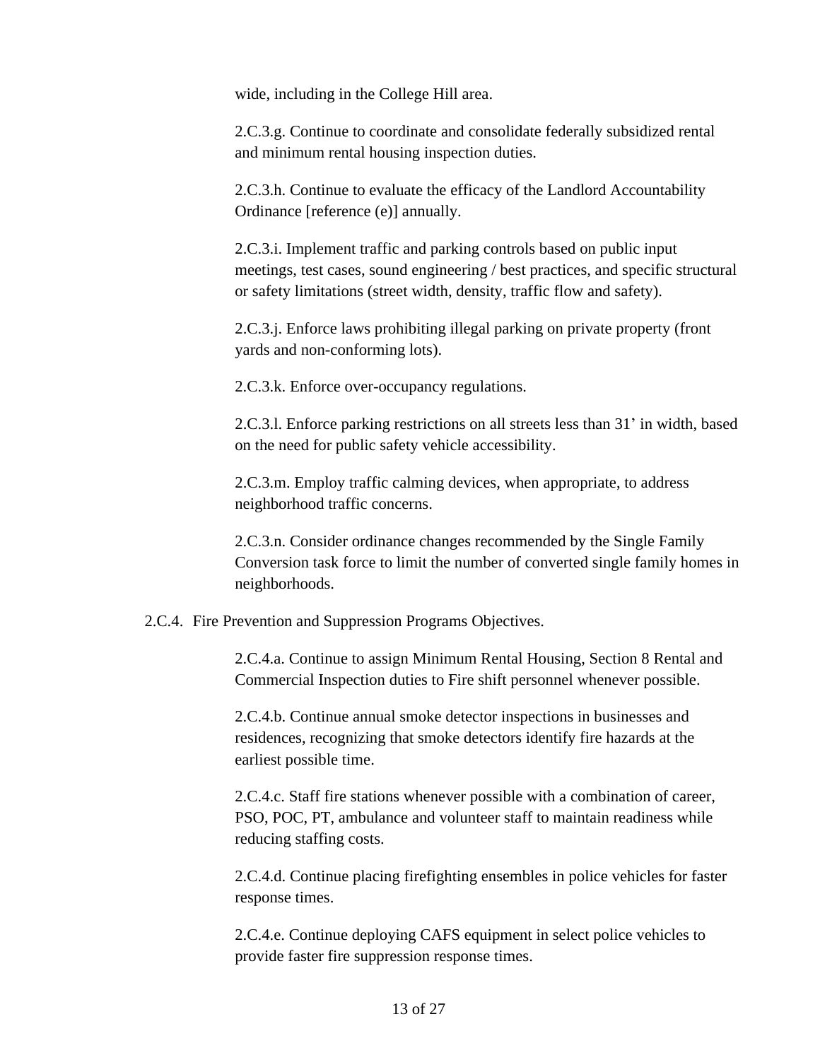wide, including in the College Hill area.

2.C.3.g. Continue to coordinate and consolidate federally subsidized rental and minimum rental housing inspection duties.

2.C.3.h. Continue to evaluate the efficacy of the Landlord Accountability Ordinance [reference (e)] annually.

2.C.3.i. Implement traffic and parking controls based on public input meetings, test cases, sound engineering / best practices, and specific structural or safety limitations (street width, density, traffic flow and safety).

2.C.3.j. Enforce laws prohibiting illegal parking on private property (front yards and non-conforming lots).

2.C.3.k. Enforce over-occupancy regulations.

2.C.3.l. Enforce parking restrictions on all streets less than 31' in width, based on the need for public safety vehicle accessibility.

2.C.3.m. Employ traffic calming devices, when appropriate, to address neighborhood traffic concerns.

2.C.3.n. Consider ordinance changes recommended by the Single Family Conversion task force to limit the number of converted single family homes in neighborhoods.

2.C.4. Fire Prevention and Suppression Programs Objectives.

2.C.4.a. Continue to assign Minimum Rental Housing, Section 8 Rental and Commercial Inspection duties to Fire shift personnel whenever possible.

2.C.4.b. Continue annual smoke detector inspections in businesses and residences, recognizing that smoke detectors identify fire hazards at the earliest possible time.

2.C.4.c. Staff fire stations whenever possible with a combination of career, PSO, POC, PT, ambulance and volunteer staff to maintain readiness while reducing staffing costs.

2.C.4.d. Continue placing firefighting ensembles in police vehicles for faster response times.

2.C.4.e. Continue deploying CAFS equipment in select police vehicles to provide faster fire suppression response times.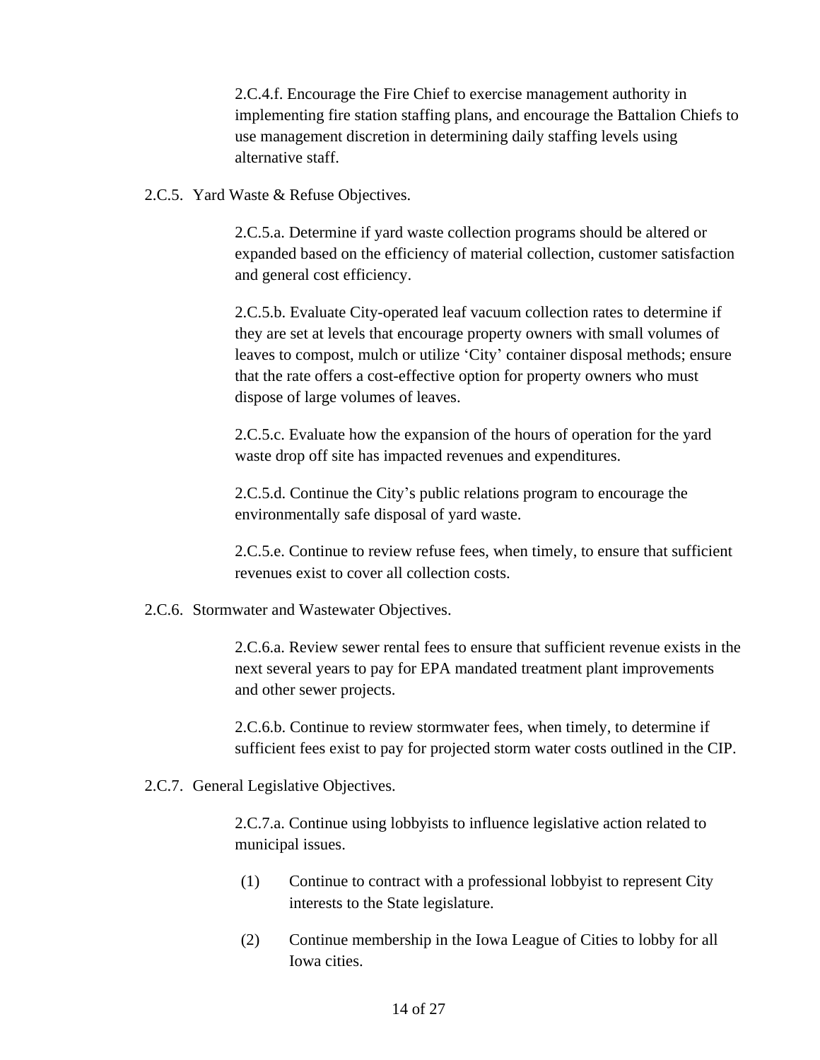2.C.4.f. Encourage the Fire Chief to exercise management authority in implementing fire station staffing plans, and encourage the Battalion Chiefs to use management discretion in determining daily staffing levels using alternative staff.

2.C.5. Yard Waste & Refuse Objectives.

2.C.5.a. Determine if yard waste collection programs should be altered or expanded based on the efficiency of material collection, customer satisfaction and general cost efficiency.

2.C.5.b. Evaluate City-operated leaf vacuum collection rates to determine if they are set at levels that encourage property owners with small volumes of leaves to compost, mulch or utilize 'City' container disposal methods; ensure that the rate offers a cost-effective option for property owners who must dispose of large volumes of leaves.

2.C.5.c. Evaluate how the expansion of the hours of operation for the yard waste drop off site has impacted revenues and expenditures.

2.C.5.d. Continue the City's public relations program to encourage the environmentally safe disposal of yard waste.

2.C.5.e. Continue to review refuse fees, when timely, to ensure that sufficient revenues exist to cover all collection costs.

2.C.6. Stormwater and Wastewater Objectives.

2.C.6.a. Review sewer rental fees to ensure that sufficient revenue exists in the next several years to pay for EPA mandated treatment plant improvements and other sewer projects.

2.C.6.b. Continue to review stormwater fees, when timely, to determine if sufficient fees exist to pay for projected storm water costs outlined in the CIP.

2.C.7. General Legislative Objectives.

2.C.7.a. Continue using lobbyists to influence legislative action related to municipal issues.

- (1) Continue to contract with a professional lobbyist to represent City interests to the State legislature.
- (2) Continue membership in the Iowa League of Cities to lobby for all Iowa cities.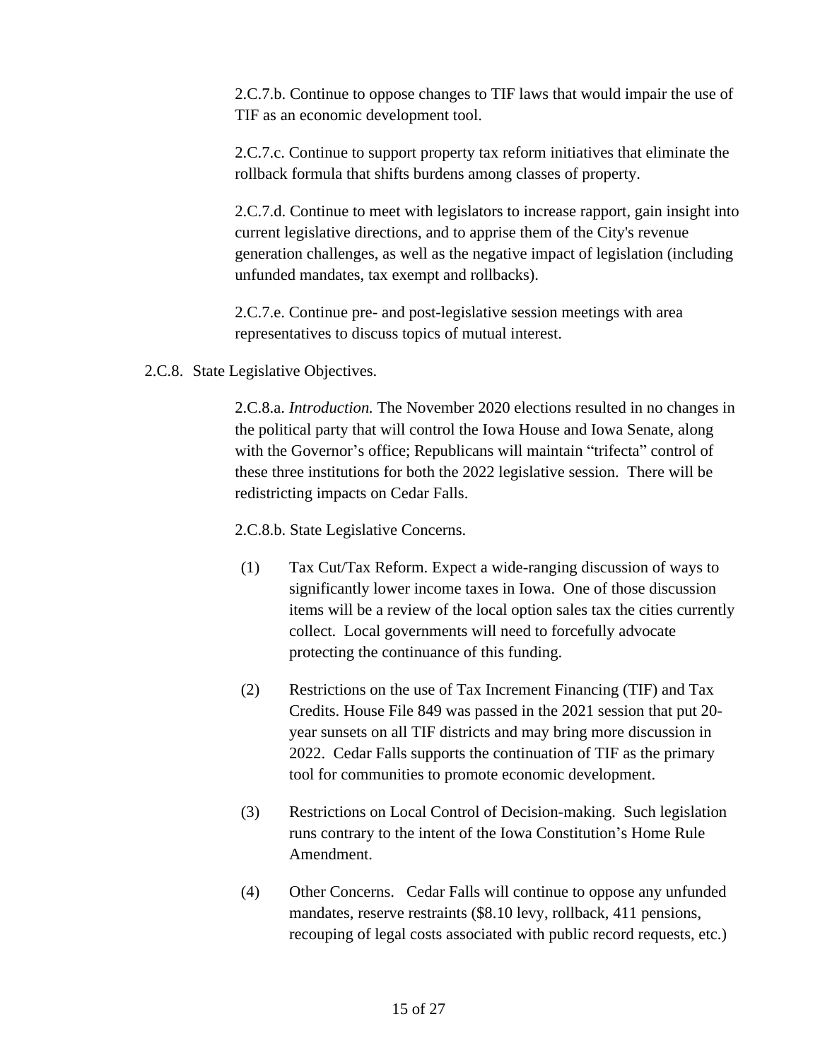2.C.7.b. Continue to oppose changes to TIF laws that would impair the use of TIF as an economic development tool.

2.C.7.c. Continue to support property tax reform initiatives that eliminate the rollback formula that shifts burdens among classes of property.

2.C.7.d. Continue to meet with legislators to increase rapport, gain insight into current legislative directions, and to apprise them of the City's revenue generation challenges, as well as the negative impact of legislation (including unfunded mandates, tax exempt and rollbacks).

2.C.7.e. Continue pre- and post-legislative session meetings with area representatives to discuss topics of mutual interest.

2.C.8. State Legislative Objectives.

2.C.8.a. *Introduction.* The November 2020 elections resulted in no changes in the political party that will control the Iowa House and Iowa Senate, along with the Governor's office; Republicans will maintain "trifecta" control of these three institutions for both the 2022 legislative session. There will be redistricting impacts on Cedar Falls.

2.C.8.b. State Legislative Concerns.

- (1) Tax Cut/Tax Reform. Expect a wide-ranging discussion of ways to significantly lower income taxes in Iowa. One of those discussion items will be a review of the local option sales tax the cities currently collect. Local governments will need to forcefully advocate protecting the continuance of this funding.
- (2) Restrictions on the use of Tax Increment Financing (TIF) and Tax Credits. House File 849 was passed in the 2021 session that put 20 year sunsets on all TIF districts and may bring more discussion in 2022. Cedar Falls supports the continuation of TIF as the primary tool for communities to promote economic development.
- (3) Restrictions on Local Control of Decision-making. Such legislation runs contrary to the intent of the Iowa Constitution's Home Rule Amendment.
- (4) Other Concerns. Cedar Falls will continue to oppose any unfunded mandates, reserve restraints (\$8.10 levy, rollback, 411 pensions, recouping of legal costs associated with public record requests, etc.)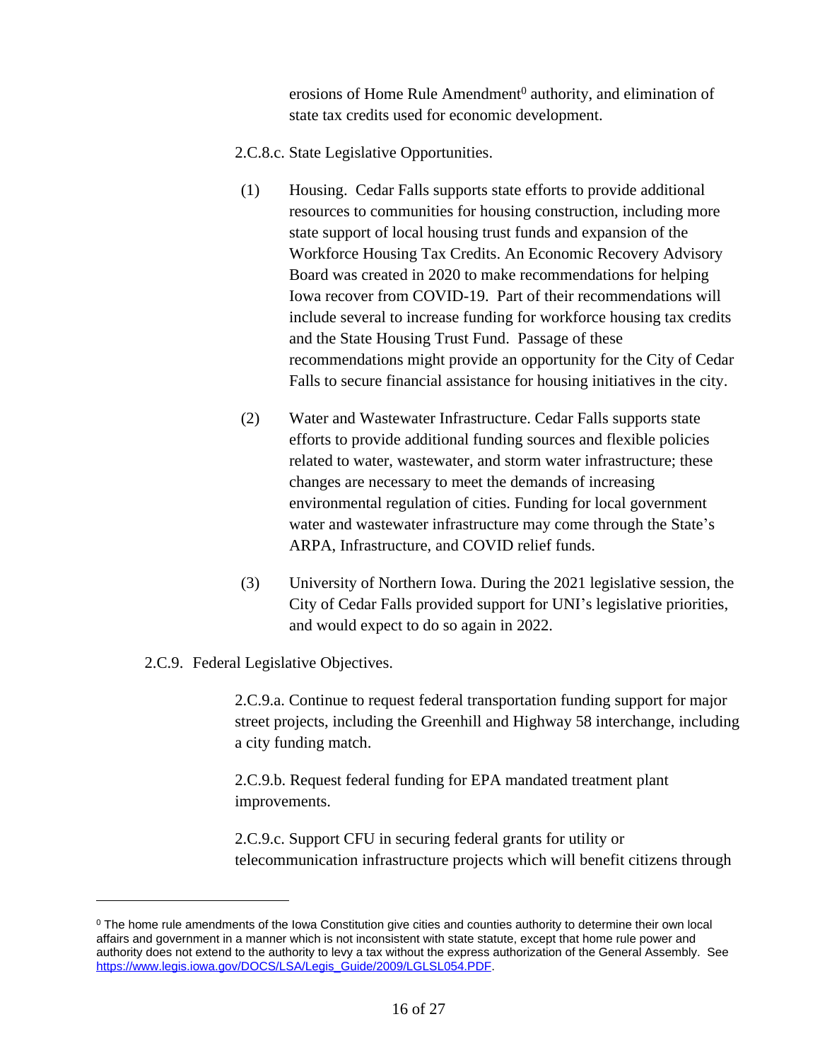erosions of Home Rule Amendment<sup>0</sup> authority, and elimination of state tax credits used for economic development.

- 2.C.8.c. State Legislative Opportunities.
- (1) Housing. Cedar Falls supports state efforts to provide additional resources to communities for housing construction, including more state support of local housing trust funds and expansion of the Workforce Housing Tax Credits. An Economic Recovery Advisory Board was created in 2020 to make recommendations for helping Iowa recover from COVID-19. Part of their recommendations will include several to increase funding for workforce housing tax credits and the State Housing Trust Fund. Passage of these recommendations might provide an opportunity for the City of Cedar Falls to secure financial assistance for housing initiatives in the city.
- (2) Water and Wastewater Infrastructure. Cedar Falls supports state efforts to provide additional funding sources and flexible policies related to water, wastewater, and storm water infrastructure; these changes are necessary to meet the demands of increasing environmental regulation of cities. Funding for local government water and wastewater infrastructure may come through the State's ARPA, Infrastructure, and COVID relief funds.
- (3) University of Northern Iowa. During the 2021 legislative session, the City of Cedar Falls provided support for UNI's legislative priorities, and would expect to do so again in 2022.
- 2.C.9. Federal Legislative Objectives.

2.C.9.a. Continue to request federal transportation funding support for major street projects, including the Greenhill and Highway 58 interchange, including a city funding match.

2.C.9.b. Request federal funding for EPA mandated treatment plant improvements.

2.C.9.c. Support CFU in securing federal grants for utility or telecommunication infrastructure projects which will benefit citizens through

<sup>&</sup>lt;sup>0</sup> The home rule amendments of the Iowa Constitution give cities and counties authority to determine their own local affairs and government in a manner which is not inconsistent with state statute, except that home rule power and authority does not extend to the authority to levy a tax without the express authorization of the General Assembly. See [https://www.legis.iowa.gov/DOCS/LSA/Legis\\_Guide/2009/LGLSL054.PDF](https://www.legis.iowa.gov/DOCS/LSA/Legis_Guide/2009/LGLSL054.PDF).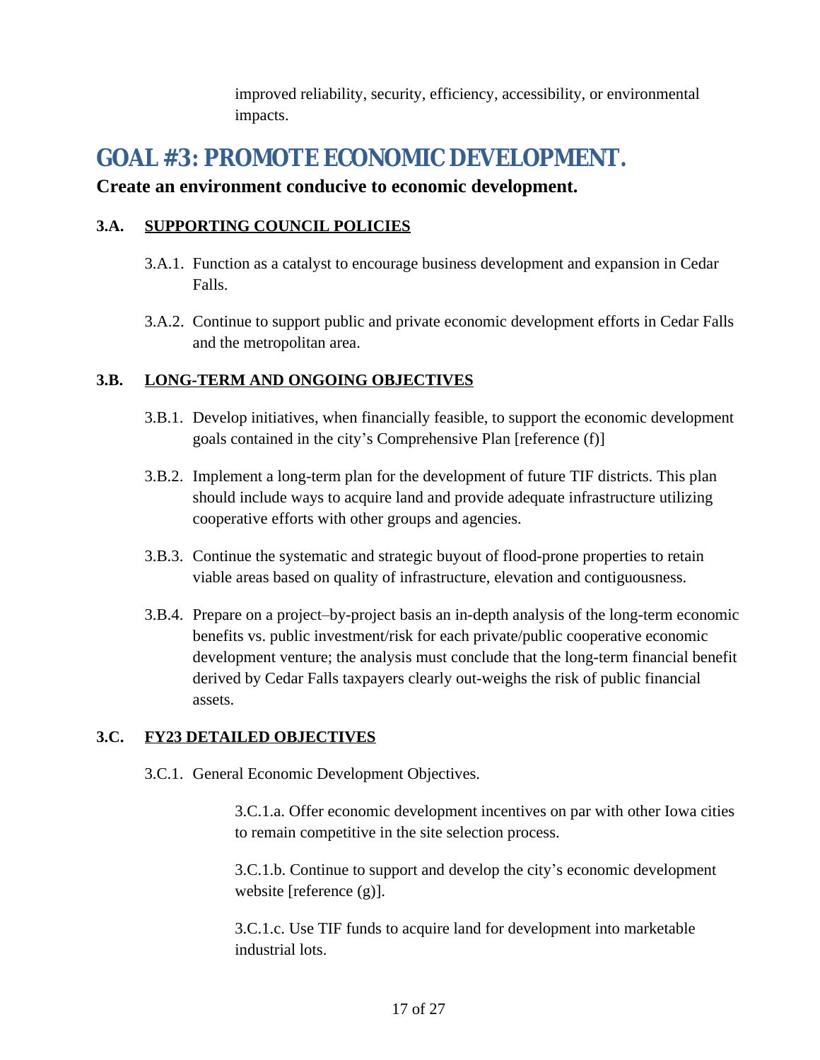improved reliability, security, efficiency, accessibility, or environmental impacts.

# <span id="page-16-0"></span>**3. GOAL #3: PROMOTE ECONOMIC DEVELOPMENT.**

### **Create an environment conducive to economic development.**

#### **3.A. SUPPORTING COUNCIL POLICIES**

- 3.A.1. Function as a catalyst to encourage business development and expansion in Cedar Falls.
- 3.A.2. Continue to support public and private economic development efforts in Cedar Falls and the metropolitan area.

### **3.B. LONG-TERM AND ONGOING OBJECTIVES**

- 3.B.1. Develop initiatives, when financially feasible, to support the economic development goals contained in the city's Comprehensive Plan [reference (f)]
- 3.B.2. Implement a long-term plan for the development of future TIF districts. This plan should include ways to acquire land and provide adequate infrastructure utilizing cooperative efforts with other groups and agencies.
- 3.B.3. Continue the systematic and strategic buyout of flood-prone properties to retain viable areas based on quality of infrastructure, elevation and contiguousness.
- 3.B.4. Prepare on a project–by-project basis an in-depth analysis of the long-term economic benefits vs. public investment/risk for each private/public cooperative economic development venture; the analysis must conclude that the long-term financial benefit derived by Cedar Falls taxpayers clearly out-weighs the risk of public financial assets.

### **3.C. FY23 DETAILED OBJECTIVES**

3.C.1. General Economic Development Objectives.

3.C.1.a. Offer economic development incentives on par with other Iowa cities to remain competitive in the site selection process.

3.C.1.b. Continue to support and develop the city's economic development website [reference (g)].

3.C.1.c. Use TIF funds to acquire land for development into marketable industrial lots.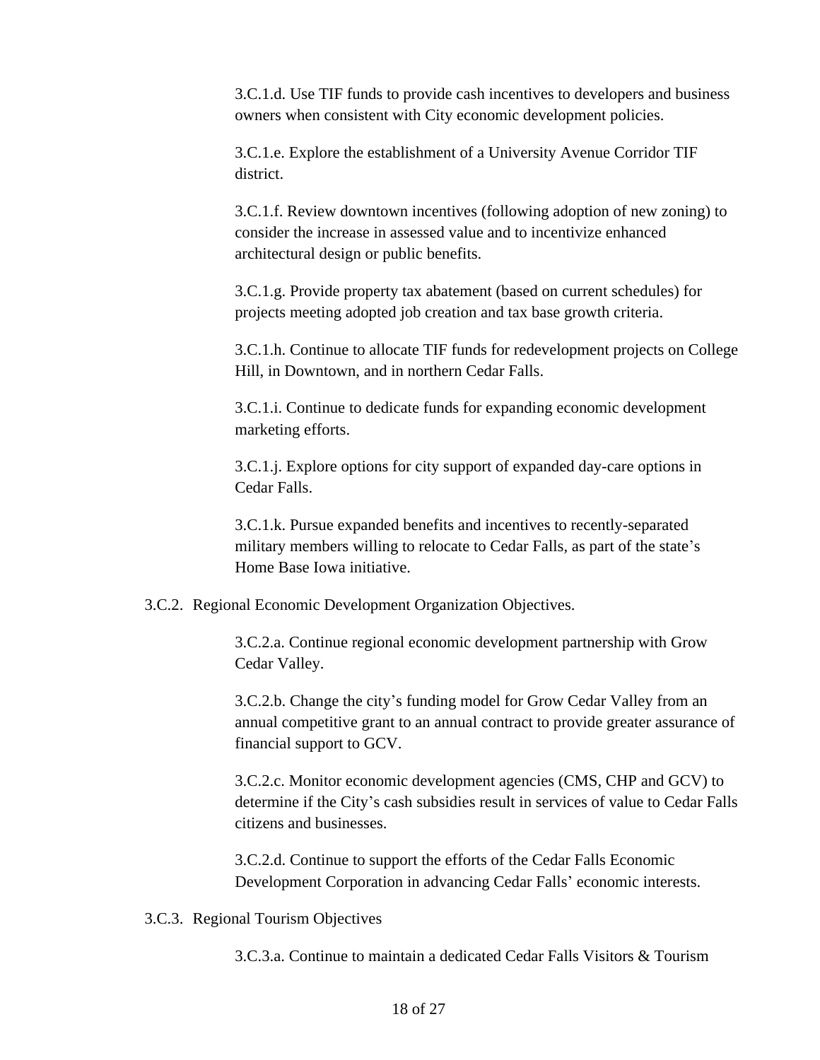3.C.1.d. Use TIF funds to provide cash incentives to developers and business owners when consistent with City economic development policies.

3.C.1.e. Explore the establishment of a University Avenue Corridor TIF district.

3.C.1.f. Review downtown incentives (following adoption of new zoning) to consider the increase in assessed value and to incentivize enhanced architectural design or public benefits.

3.C.1.g. Provide property tax abatement (based on current schedules) for projects meeting adopted job creation and tax base growth criteria.

3.C.1.h. Continue to allocate TIF funds for redevelopment projects on College Hill, in Downtown, and in northern Cedar Falls.

3.C.1.i. Continue to dedicate funds for expanding economic development marketing efforts.

3.C.1.j. Explore options for city support of expanded day-care options in Cedar Falls.

3.C.1.k. Pursue expanded benefits and incentives to recently-separated military members willing to relocate to Cedar Falls, as part of the state's Home Base Iowa initiative.

3.C.2. Regional Economic Development Organization Objectives.

3.C.2.a. Continue regional economic development partnership with Grow Cedar Valley.

3.C.2.b. Change the city's funding model for Grow Cedar Valley from an annual competitive grant to an annual contract to provide greater assurance of financial support to GCV.

3.C.2.c. Monitor economic development agencies (CMS, CHP and GCV) to determine if the City's cash subsidies result in services of value to Cedar Falls citizens and businesses.

3.C.2.d. Continue to support the efforts of the Cedar Falls Economic Development Corporation in advancing Cedar Falls' economic interests.

3.C.3. Regional Tourism Objectives

3.C.3.a. Continue to maintain a dedicated Cedar Falls Visitors & Tourism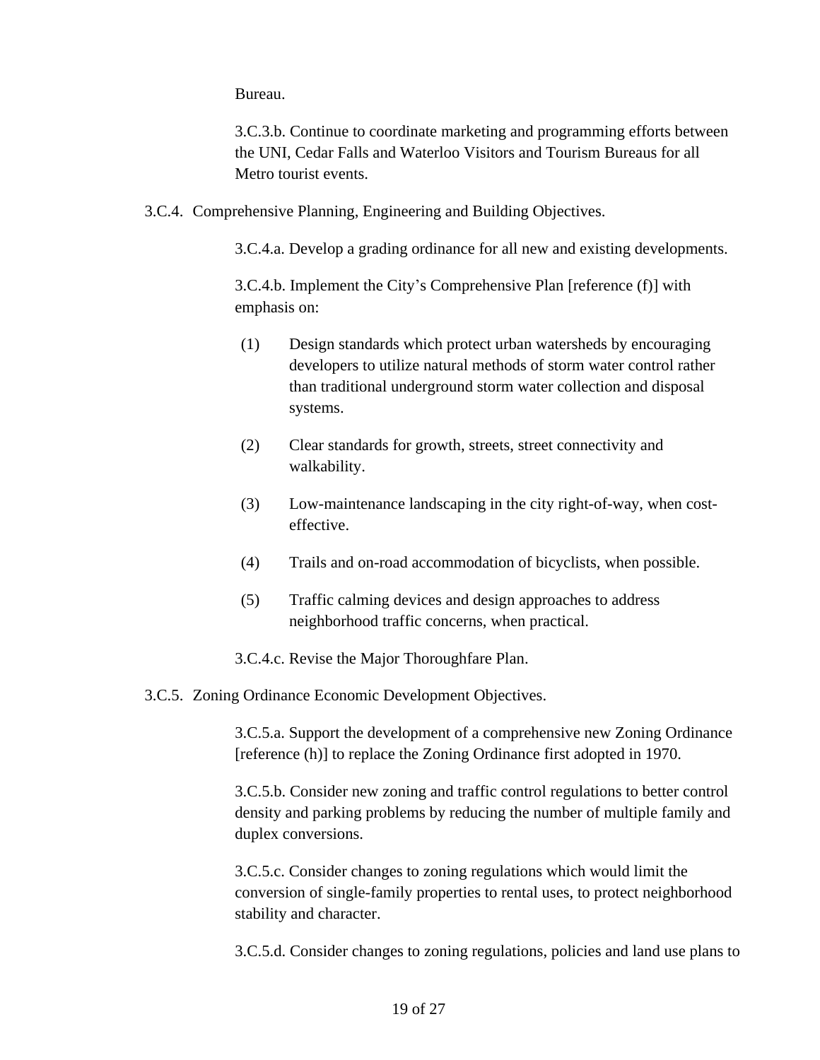Bureau.

3.C.3.b. Continue to coordinate marketing and programming efforts between the UNI, Cedar Falls and Waterloo Visitors and Tourism Bureaus for all Metro tourist events.

3.C.4. Comprehensive Planning, Engineering and Building Objectives.

3.C.4.a. Develop a grading ordinance for all new and existing developments.

3.C.4.b. Implement the City's Comprehensive Plan [reference (f)] with emphasis on:

- (1) Design standards which protect urban watersheds by encouraging developers to utilize natural methods of storm water control rather than traditional underground storm water collection and disposal systems.
- (2) Clear standards for growth, streets, street connectivity and walkability.
- (3) Low-maintenance landscaping in the city right-of-way, when costeffective.
- (4) Trails and on-road accommodation of bicyclists, when possible.
- (5) Traffic calming devices and design approaches to address neighborhood traffic concerns, when practical.

3.C.4.c. Revise the Major Thoroughfare Plan.

3.C.5. Zoning Ordinance Economic Development Objectives.

3.C.5.a. Support the development of a comprehensive new Zoning Ordinance [reference (h)] to replace the Zoning Ordinance first adopted in 1970.

3.C.5.b. Consider new zoning and traffic control regulations to better control density and parking problems by reducing the number of multiple family and duplex conversions.

3.C.5.c. Consider changes to zoning regulations which would limit the conversion of single-family properties to rental uses, to protect neighborhood stability and character.

3.C.5.d. Consider changes to zoning regulations, policies and land use plans to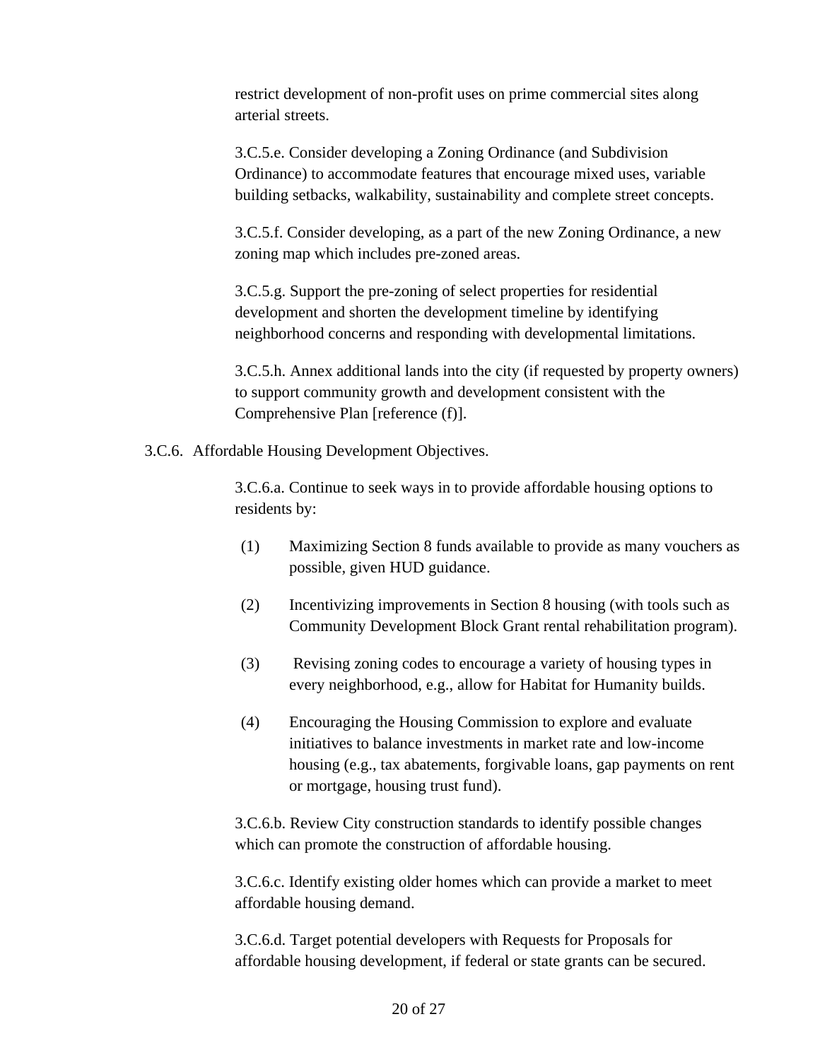restrict development of non-profit uses on prime commercial sites along arterial streets.

3.C.5.e. Consider developing a Zoning Ordinance (and Subdivision Ordinance) to accommodate features that encourage mixed uses, variable building setbacks, walkability, sustainability and complete street concepts.

3.C.5.f. Consider developing, as a part of the new Zoning Ordinance, a new zoning map which includes pre-zoned areas.

3.C.5.g. Support the pre-zoning of select properties for residential development and shorten the development timeline by identifying neighborhood concerns and responding with developmental limitations.

3.C.5.h. Annex additional lands into the city (if requested by property owners) to support community growth and development consistent with the Comprehensive Plan [reference (f)].

3.C.6. Affordable Housing Development Objectives.

3.C.6.a. Continue to seek ways in to provide affordable housing options to residents by:

- (1) Maximizing Section 8 funds available to provide as many vouchers as possible, given HUD guidance.
- (2) Incentivizing improvements in Section 8 housing (with tools such as Community Development Block Grant rental rehabilitation program).
- (3) Revising zoning codes to encourage a variety of housing types in every neighborhood, e.g., allow for Habitat for Humanity builds.
- (4) Encouraging the Housing Commission to explore and evaluate initiatives to balance investments in market rate and low-income housing (e.g., tax abatements, forgivable loans, gap payments on rent or mortgage, housing trust fund).

3.C.6.b. Review City construction standards to identify possible changes which can promote the construction of affordable housing.

3.C.6.c. Identify existing older homes which can provide a market to meet affordable housing demand.

3.C.6.d. Target potential developers with Requests for Proposals for affordable housing development, if federal or state grants can be secured.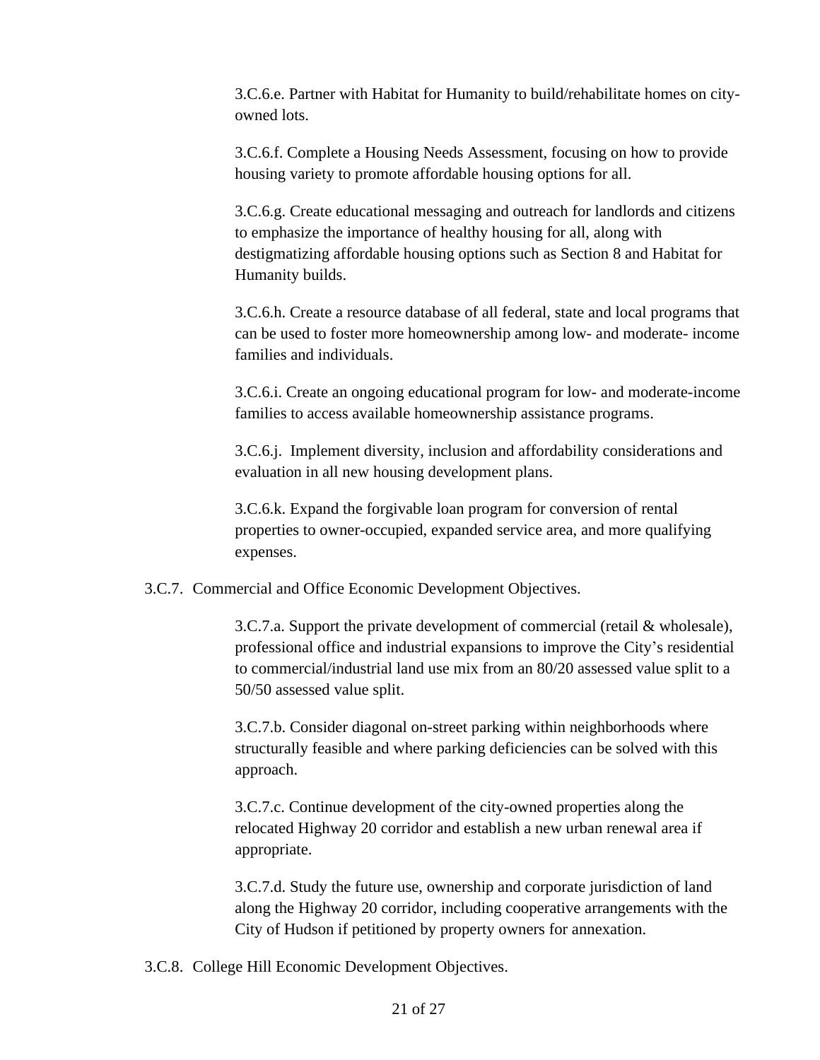3.C.6.e. Partner with Habitat for Humanity to build/rehabilitate homes on cityowned lots.

3.C.6.f. Complete a Housing Needs Assessment, focusing on how to provide housing variety to promote affordable housing options for all.

3.C.6.g. Create educational messaging and outreach for landlords and citizens to emphasize the importance of healthy housing for all, along with destigmatizing affordable housing options such as Section 8 and Habitat for Humanity builds.

3.C.6.h. Create a resource database of all federal, state and local programs that can be used to foster more homeownership among low- and moderate- income families and individuals.

3.C.6.i. Create an ongoing educational program for low- and moderate-income families to access available homeownership assistance programs.

3.C.6.j. Implement diversity, inclusion and affordability considerations and evaluation in all new housing development plans.

3.C.6.k. Expand the forgivable loan program for conversion of rental properties to owner-occupied, expanded service area, and more qualifying expenses.

3.C.7. Commercial and Office Economic Development Objectives.

3.C.7.a. Support the private development of commercial (retail & wholesale), professional office and industrial expansions to improve the City's residential to commercial/industrial land use mix from an 80/20 assessed value split to a 50/50 assessed value split.

3.C.7.b. Consider diagonal on-street parking within neighborhoods where structurally feasible and where parking deficiencies can be solved with this approach.

3.C.7.c. Continue development of the city-owned properties along the relocated Highway 20 corridor and establish a new urban renewal area if appropriate.

3.C.7.d. Study the future use, ownership and corporate jurisdiction of land along the Highway 20 corridor, including cooperative arrangements with the City of Hudson if petitioned by property owners for annexation.

3.C.8. College Hill Economic Development Objectives.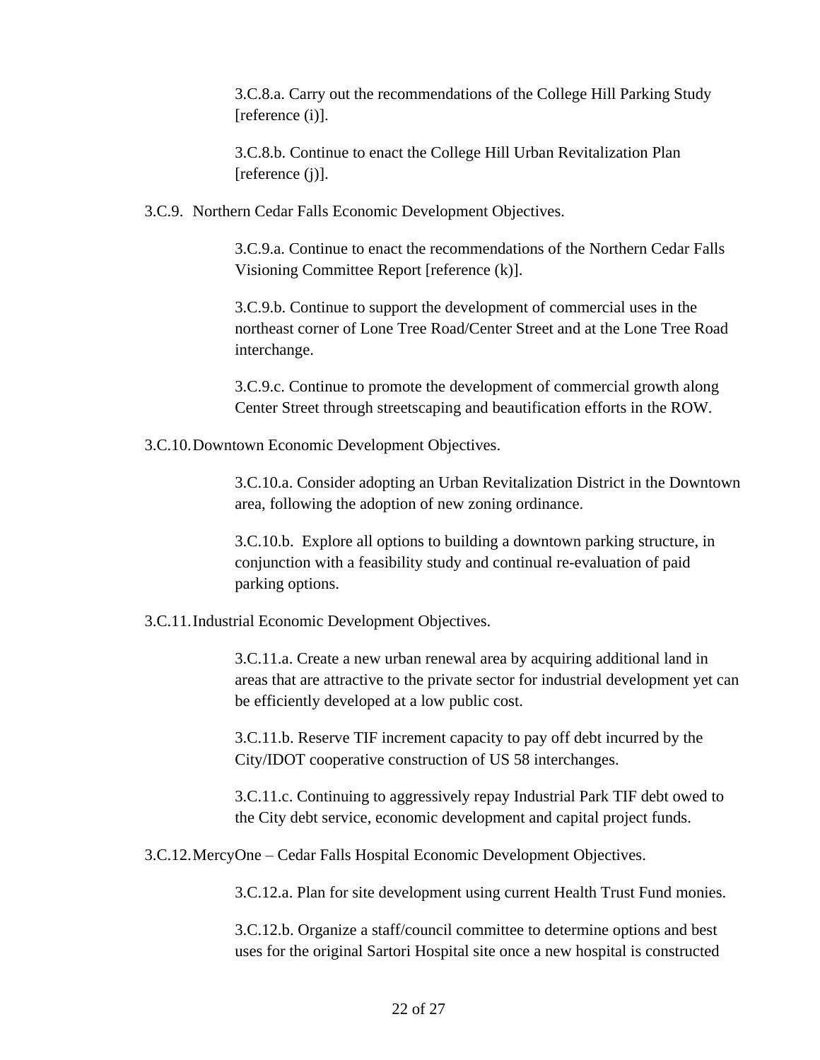3.C.8.a. Carry out the recommendations of the College Hill Parking Study [reference (i)].

3.C.8.b. Continue to enact the College Hill Urban Revitalization Plan [reference (j)].

3.C.9. Northern Cedar Falls Economic Development Objectives.

3.C.9.a. Continue to enact the recommendations of the Northern Cedar Falls Visioning Committee Report [reference (k)].

3.C.9.b. Continue to support the development of commercial uses in the northeast corner of Lone Tree Road/Center Street and at the Lone Tree Road interchange.

3.C.9.c. Continue to promote the development of commercial growth along Center Street through streetscaping and beautification efforts in the ROW.

3.C.10.Downtown Economic Development Objectives.

3.C.10.a. Consider adopting an Urban Revitalization District in the Downtown area, following the adoption of new zoning ordinance.

3.C.10.b. Explore all options to building a downtown parking structure, in conjunction with a feasibility study and continual re-evaluation of paid parking options.

3.C.11.Industrial Economic Development Objectives.

3.C.11.a. Create a new urban renewal area by acquiring additional land in areas that are attractive to the private sector for industrial development yet can be efficiently developed at a low public cost.

3.C.11.b. Reserve TIF increment capacity to pay off debt incurred by the City/IDOT cooperative construction of US 58 interchanges.

3.C.11.c. Continuing to aggressively repay Industrial Park TIF debt owed to the City debt service, economic development and capital project funds.

3.C.12.MercyOne – Cedar Falls Hospital Economic Development Objectives.

3.C.12.a. Plan for site development using current Health Trust Fund monies.

3.C.12.b. Organize a staff/council committee to determine options and best uses for the original Sartori Hospital site once a new hospital is constructed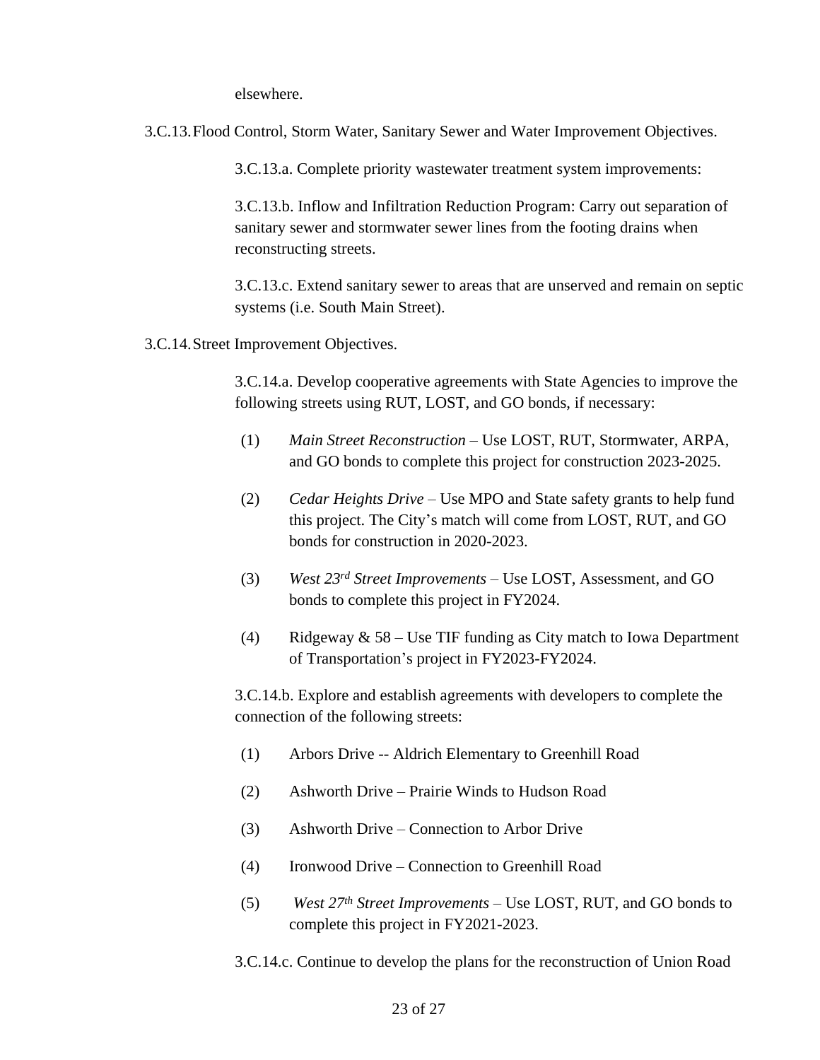elsewhere.

3.C.13.Flood Control, Storm Water, Sanitary Sewer and Water Improvement Objectives.

3.C.13.a. Complete priority wastewater treatment system improvements:

3.C.13.b. Inflow and Infiltration Reduction Program: Carry out separation of sanitary sewer and stormwater sewer lines from the footing drains when reconstructing streets.

3.C.13.c. Extend sanitary sewer to areas that are unserved and remain on septic systems (i.e. South Main Street).

3.C.14.Street Improvement Objectives.

3.C.14.a. Develop cooperative agreements with State Agencies to improve the following streets using RUT, LOST, and GO bonds, if necessary:

- (1) *Main Street Reconstruction*  Use LOST, RUT, Stormwater, ARPA, and GO bonds to complete this project for construction 2023-2025.
- (2) *Cedar Heights Drive* Use MPO and State safety grants to help fund this project. The City's match will come from LOST, RUT, and GO bonds for construction in 2020-2023.
- (3) *West 23rd Street Improvements*  Use LOST, Assessment, and GO bonds to complete this project in FY2024.
- (4) Ridgeway  $& 58 Use TIF$  funding as City match to Iowa Department of Transportation's project in FY2023-FY2024.

3.C.14.b. Explore and establish agreements with developers to complete the connection of the following streets:

- (1) Arbors Drive -- Aldrich Elementary to Greenhill Road
- (2) Ashworth Drive Prairie Winds to Hudson Road
- (3) Ashworth Drive Connection to Arbor Drive
- (4) Ironwood Drive Connection to Greenhill Road
- (5) *West 27th Street Improvements*  Use LOST, RUT, and GO bonds to complete this project in FY2021-2023.
- 3.C.14.c. Continue to develop the plans for the reconstruction of Union Road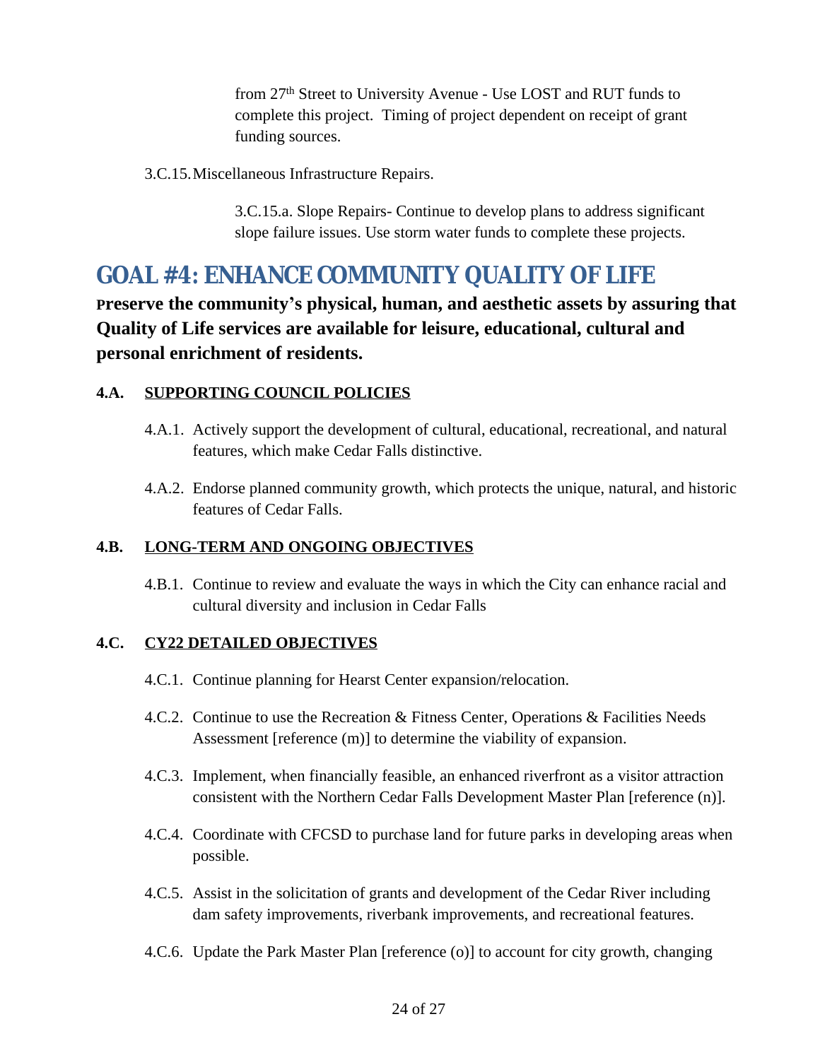from 27th Street to University Avenue - Use LOST and RUT funds to complete this project. Timing of project dependent on receipt of grant funding sources.

3.C.15.Miscellaneous Infrastructure Repairs.

3.C.15.a. Slope Repairs- Continue to develop plans to address significant slope failure issues. Use storm water funds to complete these projects.

# <span id="page-23-0"></span>**4. GOAL #4: ENHANCE COMMUNITY QUALITY OF LIFE**

**Preserve the community's physical, human, and aesthetic assets by assuring that Quality of Life services are available for leisure, educational, cultural and personal enrichment of residents.**

### **4.A. SUPPORTING COUNCIL POLICIES**

- 4.A.1. Actively support the development of cultural, educational, recreational, and natural features, which make Cedar Falls distinctive.
- 4.A.2. Endorse planned community growth, which protects the unique, natural, and historic features of Cedar Falls.

### **4.B. LONG-TERM AND ONGOING OBJECTIVES**

4.B.1. Continue to review and evaluate the ways in which the City can enhance racial and cultural diversity and inclusion in Cedar Falls

### **4.C. CY22 DETAILED OBJECTIVES**

- 4.C.1. Continue planning for Hearst Center expansion/relocation.
- 4.C.2. Continue to use the Recreation & Fitness Center, Operations & Facilities Needs Assessment [reference (m)] to determine the viability of expansion.
- 4.C.3. Implement, when financially feasible, an enhanced riverfront as a visitor attraction consistent with the Northern Cedar Falls Development Master Plan [reference (n)].
- 4.C.4. Coordinate with CFCSD to purchase land for future parks in developing areas when possible.
- 4.C.5. Assist in the solicitation of grants and development of the Cedar River including dam safety improvements, riverbank improvements, and recreational features.
- 4.C.6. Update the Park Master Plan [reference (o)] to account for city growth, changing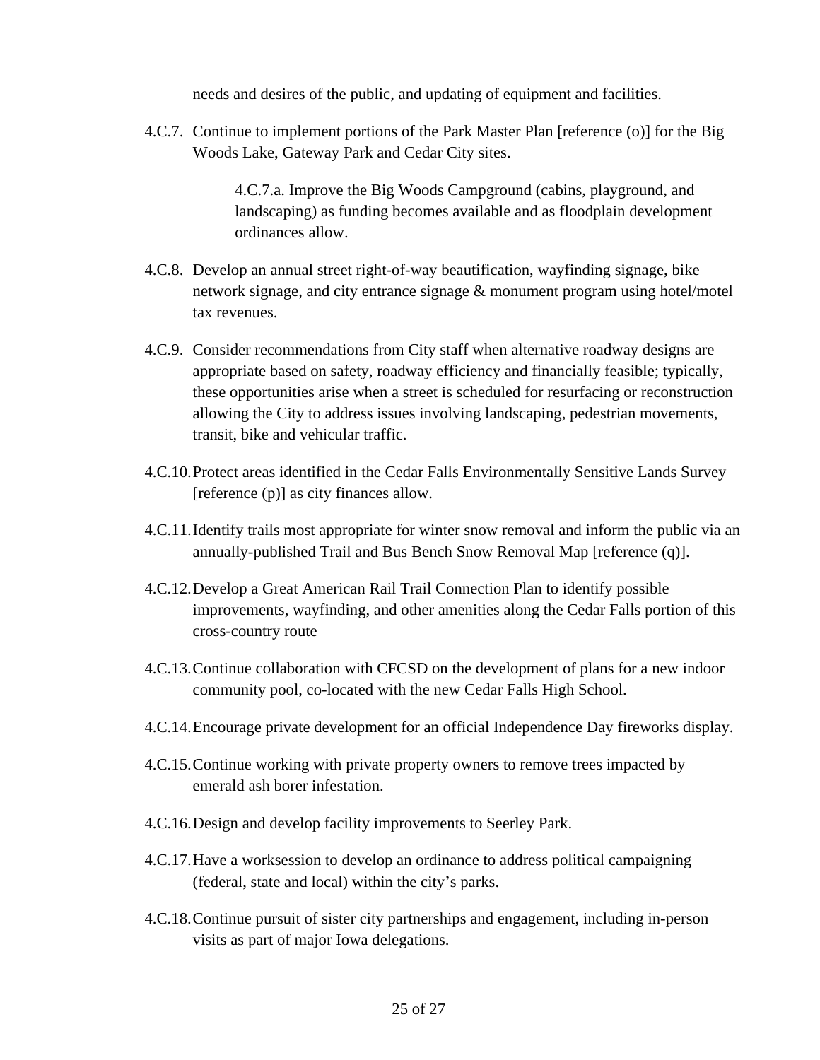needs and desires of the public, and updating of equipment and facilities.

4.C.7. Continue to implement portions of the Park Master Plan [reference (o)] for the Big Woods Lake, Gateway Park and Cedar City sites.

> 4.C.7.a. Improve the Big Woods Campground (cabins, playground, and landscaping) as funding becomes available and as floodplain development ordinances allow.

- 4.C.8. Develop an annual street right-of-way beautification, wayfinding signage, bike network signage, and city entrance signage & monument program using hotel/motel tax revenues.
- 4.C.9. Consider recommendations from City staff when alternative roadway designs are appropriate based on safety, roadway efficiency and financially feasible; typically, these opportunities arise when a street is scheduled for resurfacing or reconstruction allowing the City to address issues involving landscaping, pedestrian movements, transit, bike and vehicular traffic.
- 4.C.10.Protect areas identified in the Cedar Falls Environmentally Sensitive Lands Survey [reference (p)] as city finances allow.
- 4.C.11.Identify trails most appropriate for winter snow removal and inform the public via an annually-published Trail and Bus Bench Snow Removal Map [reference (q)].
- 4.C.12.Develop a Great American Rail Trail Connection Plan to identify possible improvements, wayfinding, and other amenities along the Cedar Falls portion of this cross-country route
- 4.C.13.Continue collaboration with CFCSD on the development of plans for a new indoor community pool, co-located with the new Cedar Falls High School.
- 4.C.14.Encourage private development for an official Independence Day fireworks display.
- 4.C.15.Continue working with private property owners to remove trees impacted by emerald ash borer infestation.
- 4.C.16.Design and develop facility improvements to Seerley Park.
- 4.C.17.Have a worksession to develop an ordinance to address political campaigning (federal, state and local) within the city's parks.
- 4.C.18.Continue pursuit of sister city partnerships and engagement, including in-person visits as part of major Iowa delegations.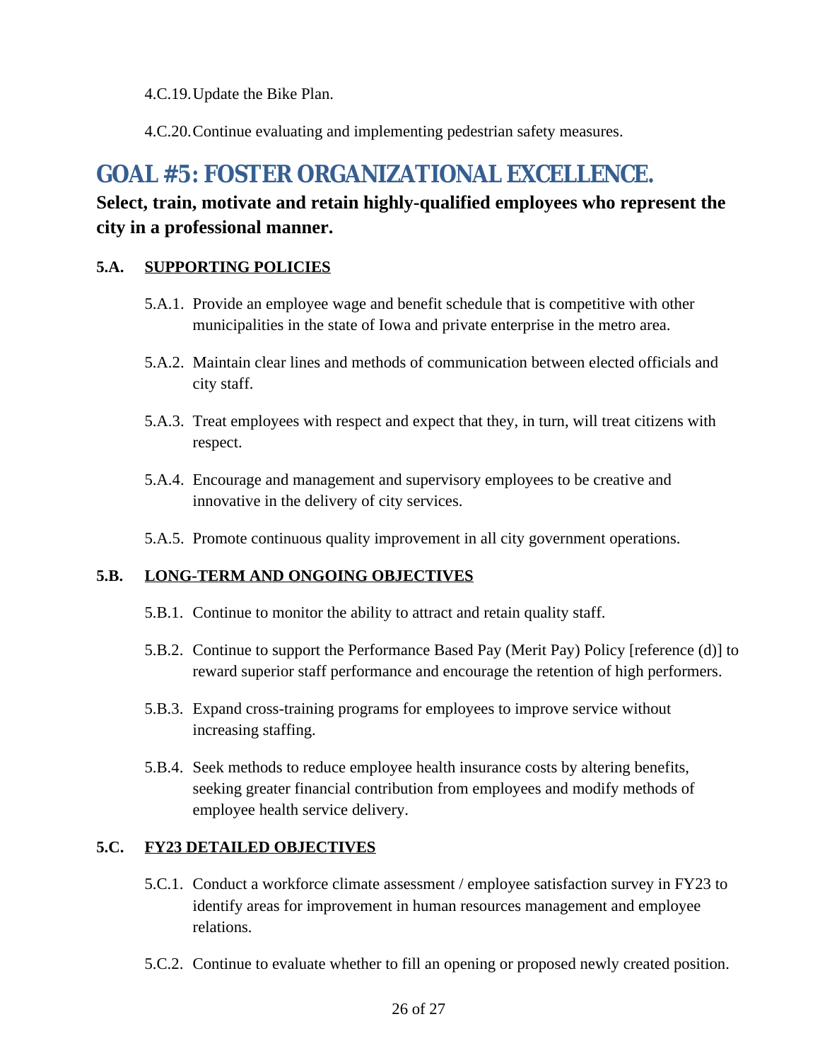4.C.19.Update the Bike Plan.

4.C.20.Continue evaluating and implementing pedestrian safety measures.

# <span id="page-25-0"></span>**5. GOAL #5: FOSTER ORGANIZATIONAL EXCELLENCE.**

### **Select, train, motivate and retain highly-qualified employees who represent the city in a professional manner.**

#### **5.A. SUPPORTING POLICIES**

- 5.A.1. Provide an employee wage and benefit schedule that is competitive with other municipalities in the state of Iowa and private enterprise in the metro area.
- 5.A.2. Maintain clear lines and methods of communication between elected officials and city staff.
- 5.A.3. Treat employees with respect and expect that they, in turn, will treat citizens with respect.
- 5.A.4. Encourage and management and supervisory employees to be creative and innovative in the delivery of city services.
- 5.A.5. Promote continuous quality improvement in all city government operations.

#### **5.B. LONG-TERM AND ONGOING OBJECTIVES**

- 5.B.1. Continue to monitor the ability to attract and retain quality staff.
- 5.B.2. Continue to support the Performance Based Pay (Merit Pay) Policy [reference (d)] to reward superior staff performance and encourage the retention of high performers.
- 5.B.3. Expand cross-training programs for employees to improve service without increasing staffing.
- 5.B.4. Seek methods to reduce employee health insurance costs by altering benefits, seeking greater financial contribution from employees and modify methods of employee health service delivery.

### **5.C. FY23 DETAILED OBJECTIVES**

- 5.C.1. Conduct a workforce climate assessment / employee satisfaction survey in FY23 to identify areas for improvement in human resources management and employee relations.
- 5.C.2. Continue to evaluate whether to fill an opening or proposed newly created position.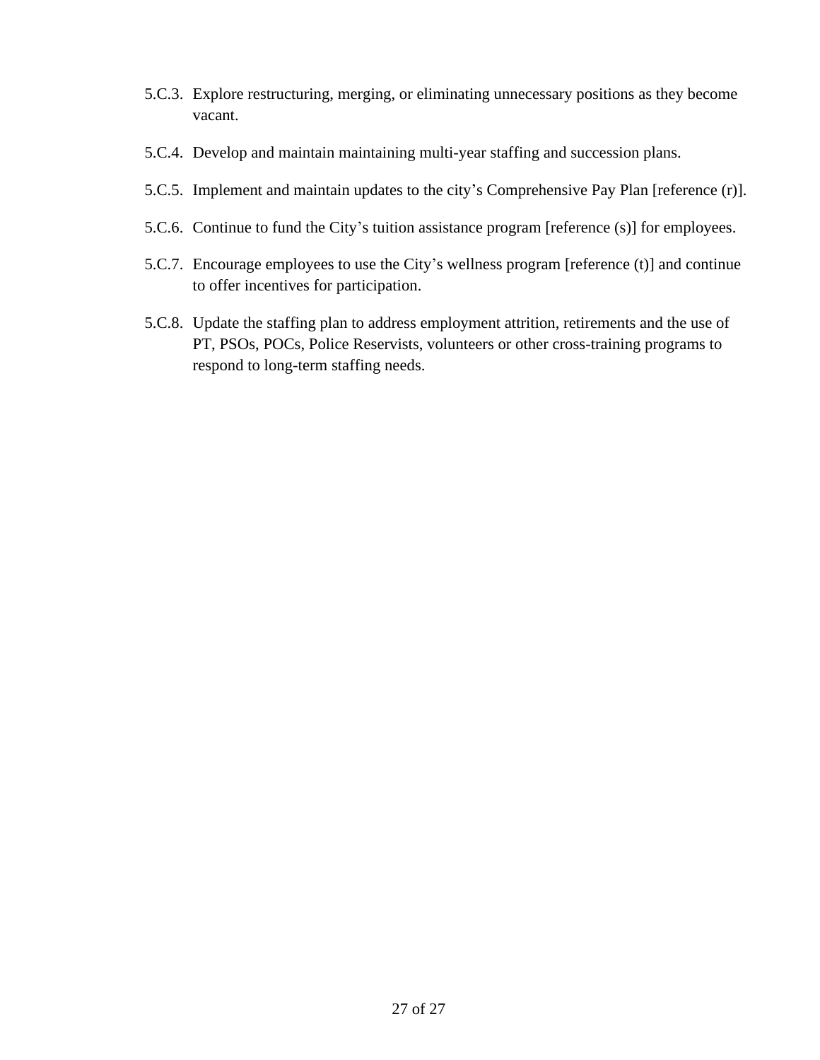- 5.C.3. Explore restructuring, merging, or eliminating unnecessary positions as they become vacant.
- 5.C.4. Develop and maintain maintaining multi-year staffing and succession plans.
- 5.C.5. Implement and maintain updates to the city's Comprehensive Pay Plan [reference (r)].
- 5.C.6. Continue to fund the City's tuition assistance program [reference (s)] for employees.
- 5.C.7. Encourage employees to use the City's wellness program [reference (t)] and continue to offer incentives for participation.
- 5.C.8. Update the staffing plan to address employment attrition, retirements and the use of PT, PSOs, POCs, Police Reservists, volunteers or other cross-training programs to respond to long-term staffing needs.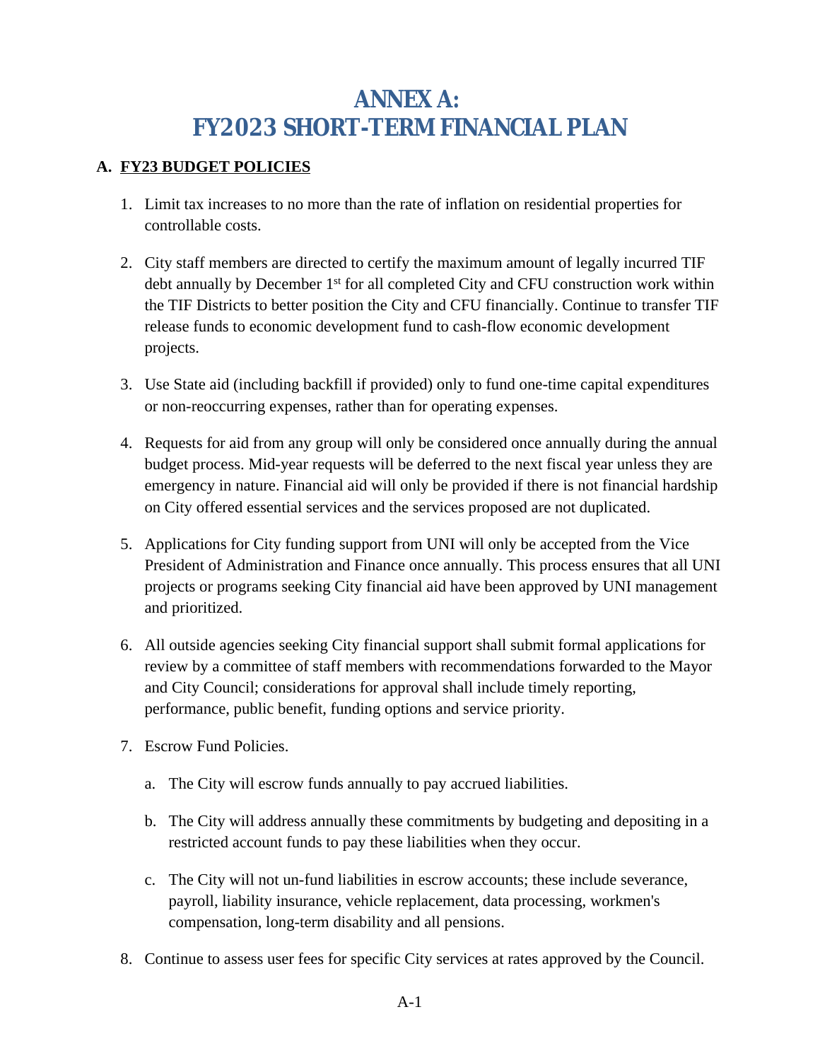# <span id="page-27-0"></span>**ANNEX A: FY2023 SHORT-TERM FINANCIAL PLAN**

### **A. FY23 BUDGET POLICIES**

- 1. Limit tax increases to no more than the rate of inflation on residential properties for controllable costs.
- 2. City staff members are directed to certify the maximum amount of legally incurred TIF debt annually by December 1st for all completed City and CFU construction work within the TIF Districts to better position the City and CFU financially. Continue to transfer TIF release funds to economic development fund to cash-flow economic development projects.
- 3. Use State aid (including backfill if provided) only to fund one-time capital expenditures or non-reoccurring expenses, rather than for operating expenses.
- 4. Requests for aid from any group will only be considered once annually during the annual budget process. Mid-year requests will be deferred to the next fiscal year unless they are emergency in nature. Financial aid will only be provided if there is not financial hardship on City offered essential services and the services proposed are not duplicated.
- 5. Applications for City funding support from UNI will only be accepted from the Vice President of Administration and Finance once annually. This process ensures that all UNI projects or programs seeking City financial aid have been approved by UNI management and prioritized.
- 6. All outside agencies seeking City financial support shall submit formal applications for review by a committee of staff members with recommendations forwarded to the Mayor and City Council; considerations for approval shall include timely reporting, performance, public benefit, funding options and service priority.
- 7. Escrow Fund Policies.
	- a. The City will escrow funds annually to pay accrued liabilities.
	- b. The City will address annually these commitments by budgeting and depositing in a restricted account funds to pay these liabilities when they occur.
	- c. The City will not un-fund liabilities in escrow accounts; these include severance, payroll, liability insurance, vehicle replacement, data processing, workmen's compensation, long-term disability and all pensions.
- 8. Continue to assess user fees for specific City services at rates approved by the Council.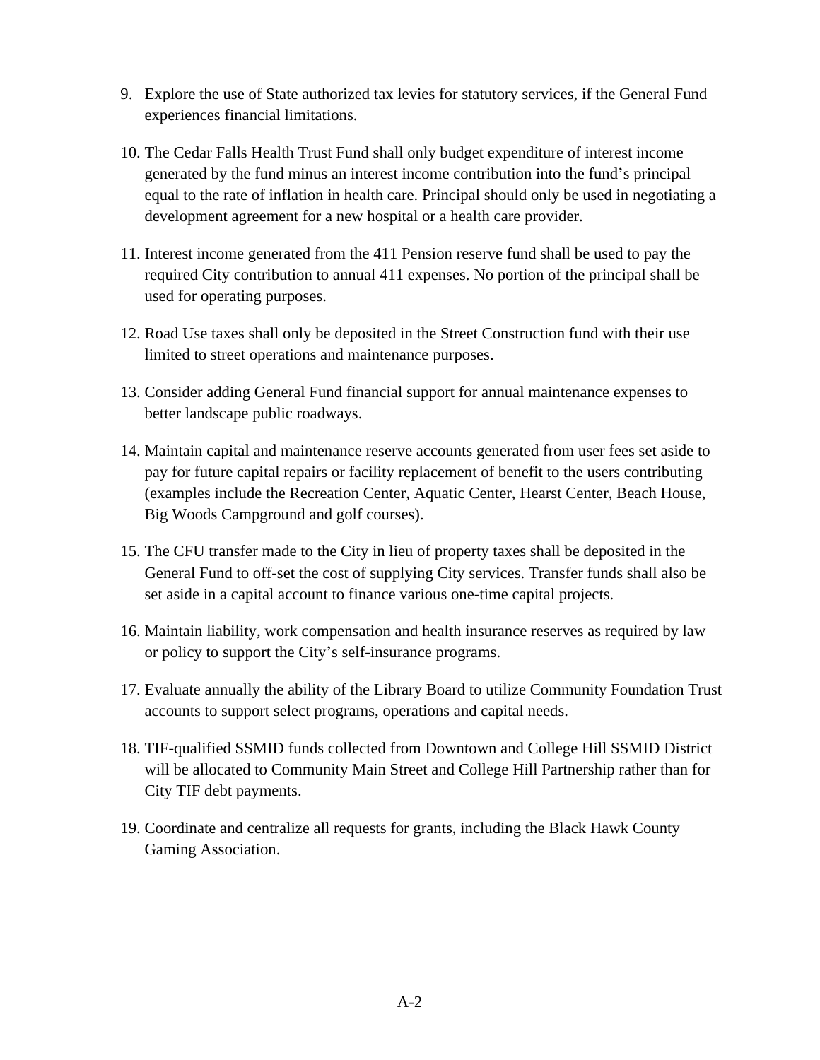- 9. Explore the use of State authorized tax levies for statutory services, if the General Fund experiences financial limitations.
- 10. The Cedar Falls Health Trust Fund shall only budget expenditure of interest income generated by the fund minus an interest income contribution into the fund's principal equal to the rate of inflation in health care. Principal should only be used in negotiating a development agreement for a new hospital or a health care provider.
- 11. Interest income generated from the 411 Pension reserve fund shall be used to pay the required City contribution to annual 411 expenses. No portion of the principal shall be used for operating purposes.
- 12. Road Use taxes shall only be deposited in the Street Construction fund with their use limited to street operations and maintenance purposes.
- 13. Consider adding General Fund financial support for annual maintenance expenses to better landscape public roadways.
- 14. Maintain capital and maintenance reserve accounts generated from user fees set aside to pay for future capital repairs or facility replacement of benefit to the users contributing (examples include the Recreation Center, Aquatic Center, Hearst Center, Beach House, Big Woods Campground and golf courses).
- 15. The CFU transfer made to the City in lieu of property taxes shall be deposited in the General Fund to off-set the cost of supplying City services. Transfer funds shall also be set aside in a capital account to finance various one-time capital projects.
- 16. Maintain liability, work compensation and health insurance reserves as required by law or policy to support the City's self-insurance programs.
- 17. Evaluate annually the ability of the Library Board to utilize Community Foundation Trust accounts to support select programs, operations and capital needs.
- 18. TIF-qualified SSMID funds collected from Downtown and College Hill SSMID District will be allocated to Community Main Street and College Hill Partnership rather than for City TIF debt payments.
- 19. Coordinate and centralize all requests for grants, including the Black Hawk County Gaming Association.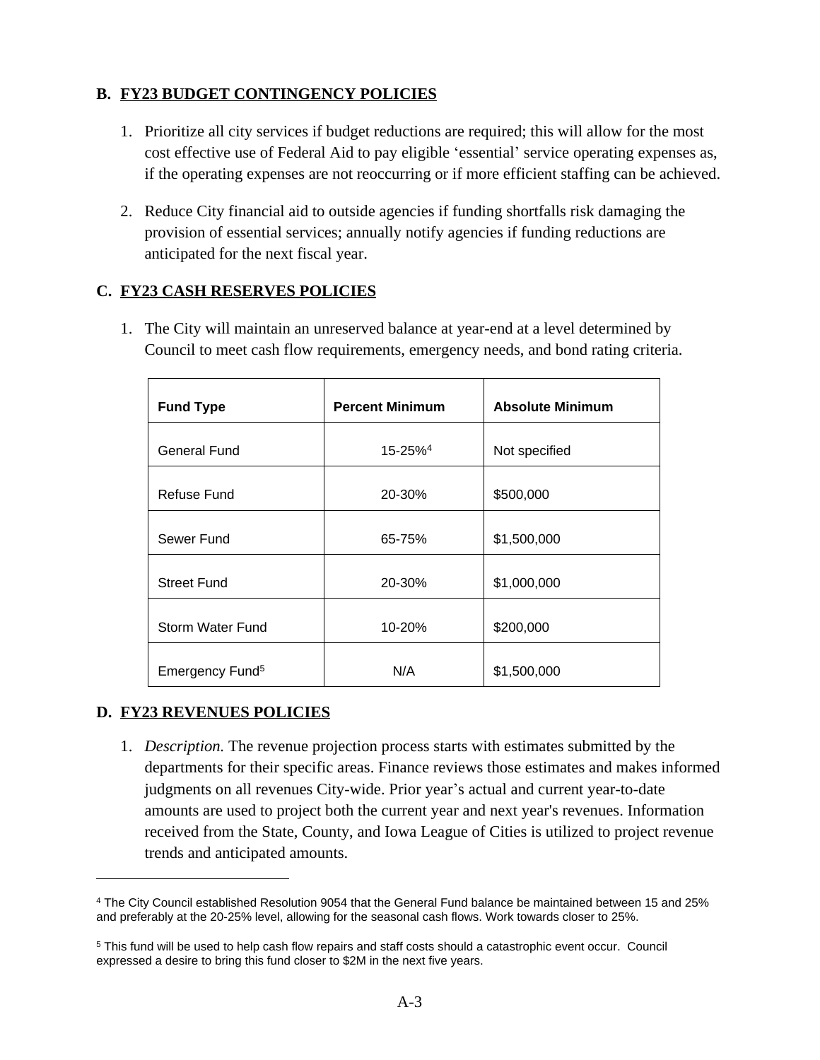### **B. FY23 BUDGET CONTINGENCY POLICIES**

- 1. Prioritize all city services if budget reductions are required; this will allow for the most cost effective use of Federal Aid to pay eligible 'essential' service operating expenses as, if the operating expenses are not reoccurring or if more efficient staffing can be achieved.
- 2. Reduce City financial aid to outside agencies if funding shortfalls risk damaging the provision of essential services; annually notify agencies if funding reductions are anticipated for the next fiscal year.

### **C. FY23 CASH RESERVES POLICIES**

1. The City will maintain an unreserved balance at year-end at a level determined by Council to meet cash flow requirements, emergency needs, and bond rating criteria.

| <b>Fund Type</b>            | <b>Percent Minimum</b> | <b>Absolute Minimum</b> |
|-----------------------------|------------------------|-------------------------|
|                             |                        |                         |
| <b>General Fund</b>         | 15-25% <sup>4</sup>    | Not specified           |
| Refuse Fund                 | 20-30%                 | \$500,000               |
| Sewer Fund                  | 65-75%                 | \$1,500,000             |
| <b>Street Fund</b>          | 20-30%                 | \$1,000,000             |
| Storm Water Fund            | 10-20%                 | \$200,000               |
| Emergency Fund <sup>5</sup> | N/A                    | \$1,500,000             |

### **D. FY23 REVENUES POLICIES**

1. *Description.* The revenue projection process starts with estimates submitted by the departments for their specific areas. Finance reviews those estimates and makes informed judgments on all revenues City-wide. Prior year's actual and current year-to-date amounts are used to project both the current year and next year's revenues. Information received from the State, County, and Iowa League of Cities is utilized to project revenue trends and anticipated amounts.

<sup>4</sup> The City Council established Resolution 9054 that the General Fund balance be maintained between 15 and 25% and preferably at the 20-25% level, allowing for the seasonal cash flows. Work towards closer to 25%.

<sup>&</sup>lt;sup>5</sup> This fund will be used to help cash flow repairs and staff costs should a catastrophic event occur. Council expressed a desire to bring this fund closer to \$2M in the next five years.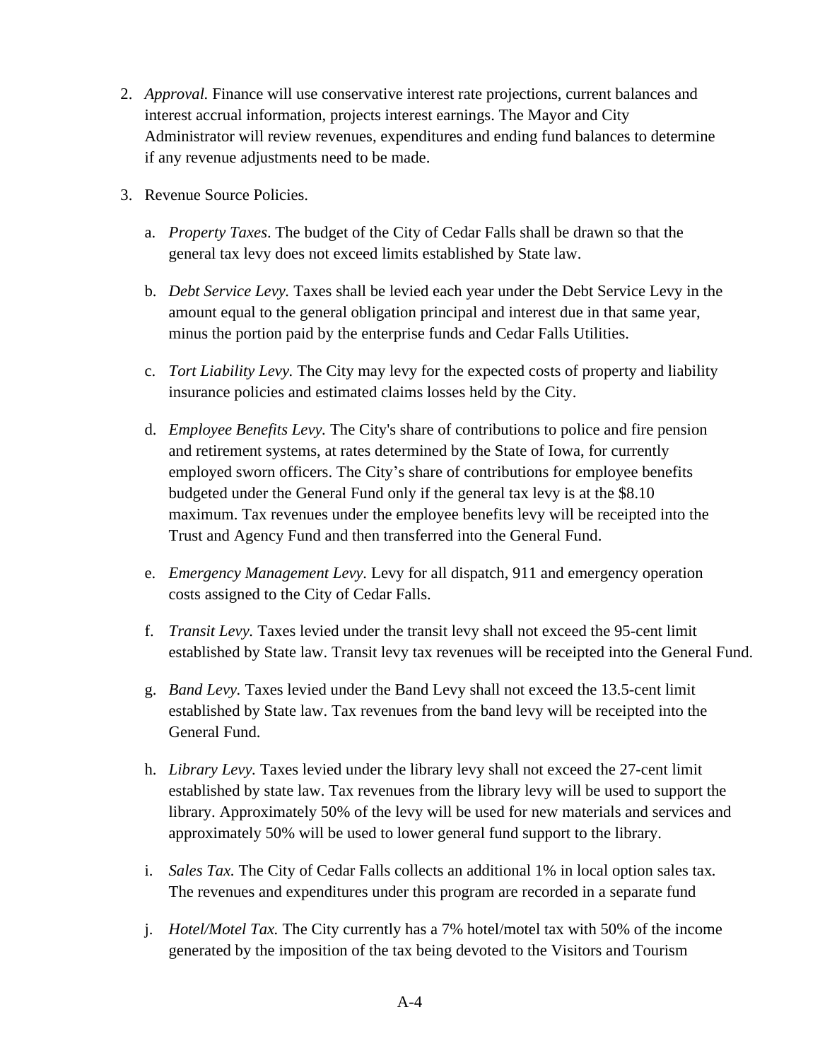- 2. *Approval.* Finance will use conservative interest rate projections, current balances and interest accrual information, projects interest earnings. The Mayor and City Administrator will review revenues, expenditures and ending fund balances to determine if any revenue adjustments need to be made.
- 3. Revenue Source Policies.
	- a. *Property Taxes*. The budget of the City of Cedar Falls shall be drawn so that the general tax levy does not exceed limits established by State law.
	- b. *Debt Service Levy.* Taxes shall be levied each year under the Debt Service Levy in the amount equal to the general obligation principal and interest due in that same year, minus the portion paid by the enterprise funds and Cedar Falls Utilities.
	- c. *Tort Liability Levy.* The City may levy for the expected costs of property and liability insurance policies and estimated claims losses held by the City.
	- d. *Employee Benefits Levy.* The City's share of contributions to police and fire pension and retirement systems, at rates determined by the State of Iowa, for currently employed sworn officers. The City's share of contributions for employee benefits budgeted under the General Fund only if the general tax levy is at the \$8.10 maximum. Tax revenues under the employee benefits levy will be receipted into the Trust and Agency Fund and then transferred into the General Fund.
	- e. *Emergency Management Levy.* Levy for all dispatch, 911 and emergency operation costs assigned to the City of Cedar Falls.
	- f. *Transit Levy.* Taxes levied under the transit levy shall not exceed the 95-cent limit established by State law. Transit levy tax revenues will be receipted into the General Fund.
	- g. *Band Levy.* Taxes levied under the Band Levy shall not exceed the 13.5-cent limit established by State law. Tax revenues from the band levy will be receipted into the General Fund.
	- h. *Library Levy.* Taxes levied under the library levy shall not exceed the 27-cent limit established by state law. Tax revenues from the library levy will be used to support the library. Approximately 50% of the levy will be used for new materials and services and approximately 50% will be used to lower general fund support to the library.
	- i. *Sales Tax.* The City of Cedar Falls collects an additional 1% in local option sales tax*.* The revenues and expenditures under this program are recorded in a separate fund
	- j. *Hotel/Motel Tax.* The City currently has a 7% hotel/motel tax with 50% of the income generated by the imposition of the tax being devoted to the Visitors and Tourism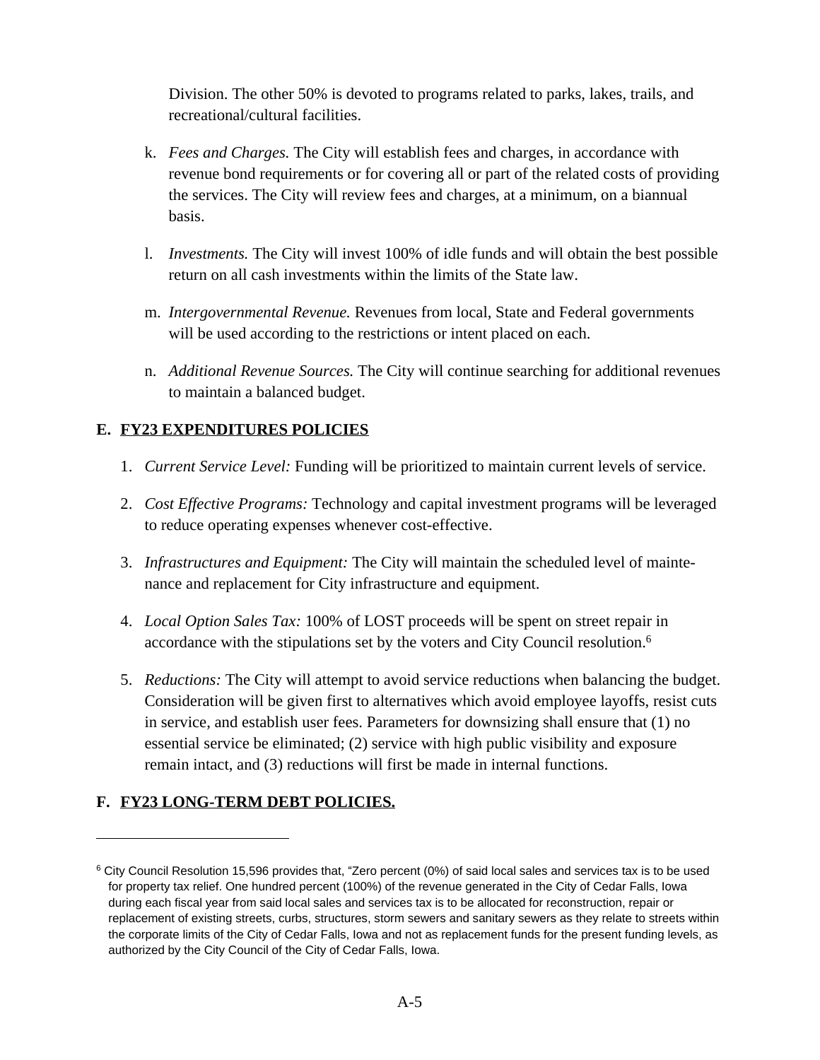Division. The other 50% is devoted to programs related to parks, lakes, trails, and recreational/cultural facilities.

- k. *Fees and Charges.* The City will establish fees and charges, in accordance with revenue bond requirements or for covering all or part of the related costs of providing the services. The City will review fees and charges, at a minimum, on a biannual basis.
- l. *Investments.* The City will invest 100% of idle funds and will obtain the best possible return on all cash investments within the limits of the State law.
- m. *Intergovernmental Revenue.* Revenues from local, State and Federal governments will be used according to the restrictions or intent placed on each.
- n. *Additional Revenue Sources.* The City will continue searching for additional revenues to maintain a balanced budget.

### **E. FY23 EXPENDITURES POLICIES**

- 1. *Current Service Level:* Funding will be prioritized to maintain current levels of service.
- 2. *Cost Effective Programs:* Technology and capital investment programs will be leveraged to reduce operating expenses whenever cost-effective.
- 3. *Infrastructures and Equipment:* The City will maintain the scheduled level of maintenance and replacement for City infrastructure and equipment.
- 4. *Local Option Sales Tax:* 100% of LOST proceeds will be spent on street repair in accordance with the stipulations set by the voters and City Council resolution.<sup>6</sup>
- 5. *Reductions:* The City will attempt to avoid service reductions when balancing the budget. Consideration will be given first to alternatives which avoid employee layoffs, resist cuts in service, and establish user fees. Parameters for downsizing shall ensure that (1) no essential service be eliminated; (2) service with high public visibility and exposure remain intact, and (3) reductions will first be made in internal functions.

### **F. FY23 LONG-TERM DEBT POLICIES.**

<sup>6</sup> City Council Resolution 15,596 provides that, "Zero percent (0%) of said local sales and services tax is to be used for property tax relief. One hundred percent (100%) of the revenue generated in the City of Cedar Falls, Iowa during each fiscal year from said local sales and services tax is to be allocated for reconstruction, repair or replacement of existing streets, curbs, structures, storm sewers and sanitary sewers as they relate to streets within the corporate limits of the City of Cedar Falls, Iowa and not as replacement funds for the present funding levels, as authorized by the City Council of the City of Cedar Falls, Iowa.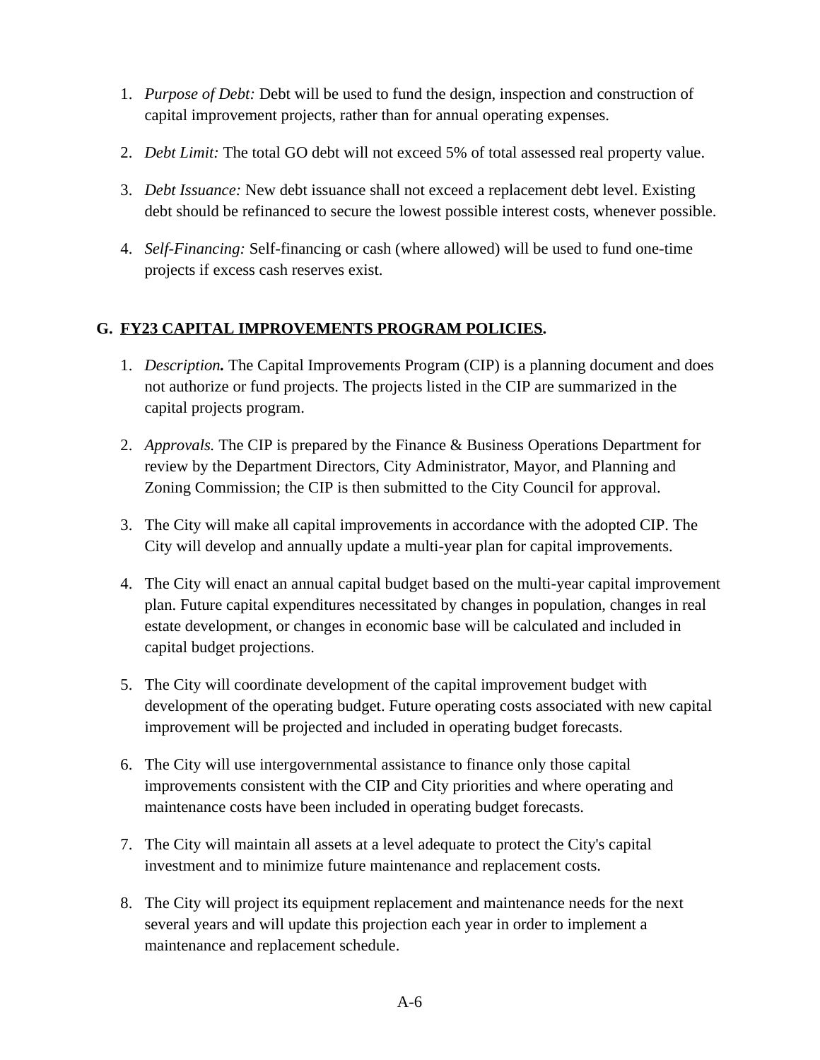- 1. *Purpose of Debt:* Debt will be used to fund the design, inspection and construction of capital improvement projects, rather than for annual operating expenses.
- 2. *Debt Limit:* The total GO debt will not exceed 5% of total assessed real property value.
- 3. *Debt Issuance:* New debt issuance shall not exceed a replacement debt level. Existing debt should be refinanced to secure the lowest possible interest costs, whenever possible.
- 4. *Self-Financing:* Self-financing or cash (where allowed) will be used to fund one-time projects if excess cash reserves exist.

### **G. FY23 CAPITAL IMPROVEMENTS PROGRAM POLICIES.**

- 1. *Description.* The Capital Improvements Program (CIP) is a planning document and does not authorize or fund projects. The projects listed in the CIP are summarized in the capital projects program.
- 2. *Approvals.* The CIP is prepared by the Finance & Business Operations Department for review by the Department Directors, City Administrator, Mayor, and Planning and Zoning Commission; the CIP is then submitted to the City Council for approval.
- 3. The City will make all capital improvements in accordance with the adopted CIP. The City will develop and annually update a multi-year plan for capital improvements.
- 4. The City will enact an annual capital budget based on the multi-year capital improvement plan. Future capital expenditures necessitated by changes in population, changes in real estate development, or changes in economic base will be calculated and included in capital budget projections.
- 5. The City will coordinate development of the capital improvement budget with development of the operating budget. Future operating costs associated with new capital improvement will be projected and included in operating budget forecasts.
- 6. The City will use intergovernmental assistance to finance only those capital improvements consistent with the CIP and City priorities and where operating and maintenance costs have been included in operating budget forecasts.
- 7. The City will maintain all assets at a level adequate to protect the City's capital investment and to minimize future maintenance and replacement costs.
- 8. The City will project its equipment replacement and maintenance needs for the next several years and will update this projection each year in order to implement a maintenance and replacement schedule.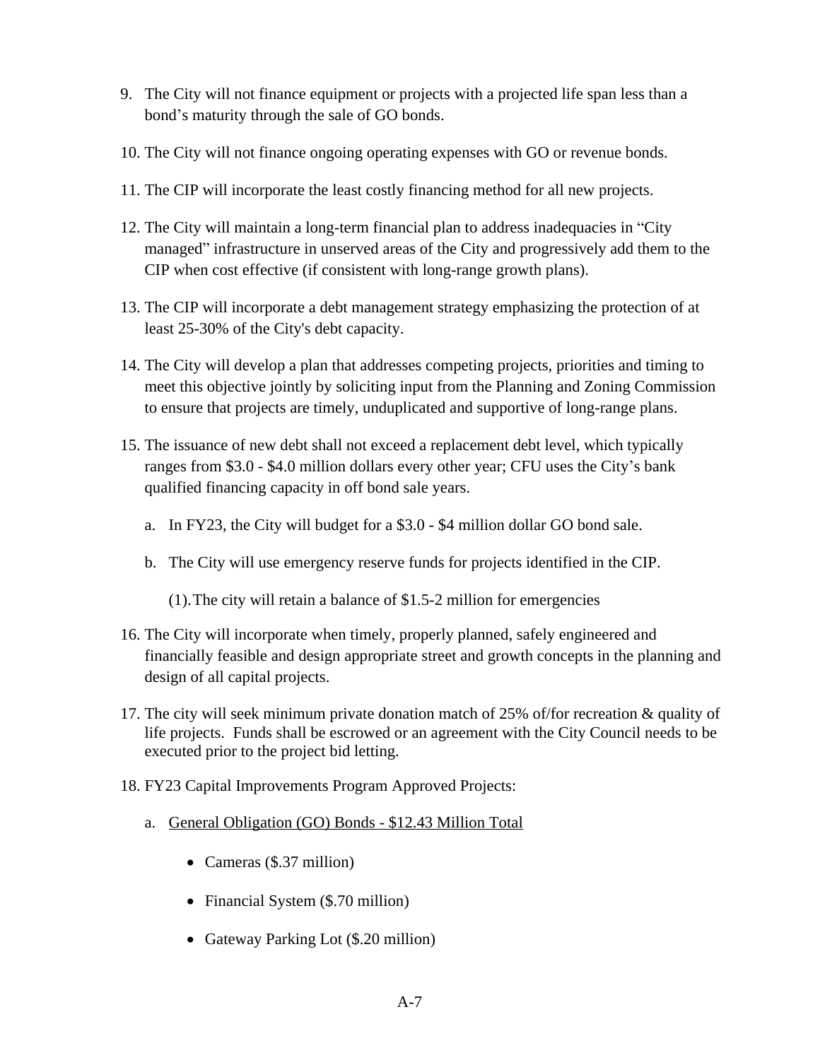- 9. The City will not finance equipment or projects with a projected life span less than a bond's maturity through the sale of GO bonds.
- 10. The City will not finance ongoing operating expenses with GO or revenue bonds.
- 11. The CIP will incorporate the least costly financing method for all new projects.
- 12. The City will maintain a long-term financial plan to address inadequacies in "City managed" infrastructure in unserved areas of the City and progressively add them to the CIP when cost effective (if consistent with long-range growth plans).
- 13. The CIP will incorporate a debt management strategy emphasizing the protection of at least 25-30% of the City's debt capacity.
- 14. The City will develop a plan that addresses competing projects, priorities and timing to meet this objective jointly by soliciting input from the Planning and Zoning Commission to ensure that projects are timely, unduplicated and supportive of long-range plans.
- 15. The issuance of new debt shall not exceed a replacement debt level, which typically ranges from \$3.0 - \$4.0 million dollars every other year; CFU uses the City's bank qualified financing capacity in off bond sale years.
	- a. In FY23, the City will budget for a \$3.0 \$4 million dollar GO bond sale.
	- b. The City will use emergency reserve funds for projects identified in the CIP.
		- (1).The city will retain a balance of \$1.5-2 million for emergencies
- 16. The City will incorporate when timely, properly planned, safely engineered and financially feasible and design appropriate street and growth concepts in the planning and design of all capital projects.
- 17. The city will seek minimum private donation match of 25% of/for recreation & quality of life projects. Funds shall be escrowed or an agreement with the City Council needs to be executed prior to the project bid letting.
- 18. FY23 Capital Improvements Program Approved Projects:
	- a. General Obligation (GO) Bonds \$12.43 Million Total
		- Cameras (\$.37 million)
		- Financial System (\$.70 million)
		- Gateway Parking Lot (\$.20 million)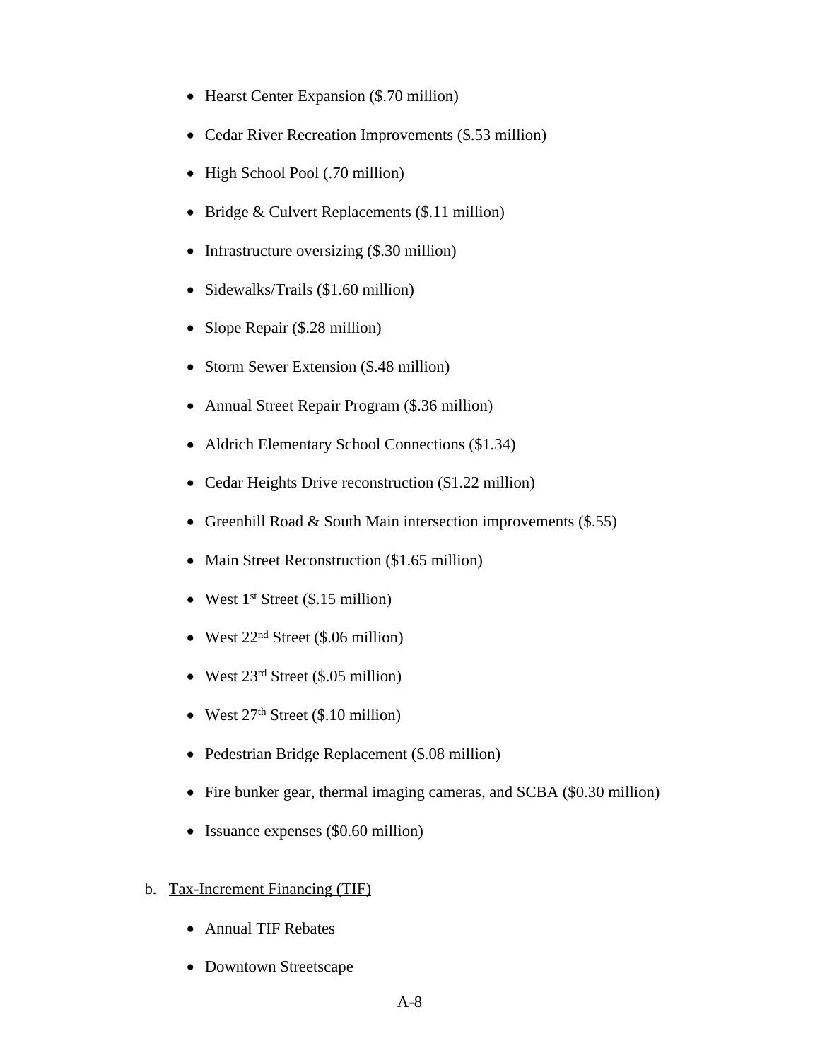- Hearst Center Expansion (\$.70 million)
- Cedar River Recreation Improvements (\$.53 million)
- High School Pool (.70 million)
- Bridge & Culvert Replacements (\$.11 million)
- Infrastructure oversizing (\$.30 million)
- Sidewalks/Trails (\$1.60 million)
- Slope Repair (\$.28 million)
- Storm Sewer Extension (\$.48 million)
- Annual Street Repair Program (\$.36 million)
- Aldrich Elementary School Connections (\$1.34)
- Cedar Heights Drive reconstruction (\$1.22 million)
- Greenhill Road & South Main intersection improvements (\$.55)
- Main Street Reconstruction (\$1.65 million)
- West  $1^{st}$  Street (\$.15 million)
- West  $22<sup>nd</sup>$  Street (\$.06 million)
- West 23<sup>rd</sup> Street (\$.05 million)
- West  $27<sup>th</sup>$  Street (\$.10 million)
- Pedestrian Bridge Replacement (\$.08 million)
- Fire bunker gear, thermal imaging cameras, and SCBA (\$0.30 million)
- Issuance expenses (\$0.60 million)
- b. Tax-Increment Financing (TIF)
	- Annual TIF Rebates
	- Downtown Streetscape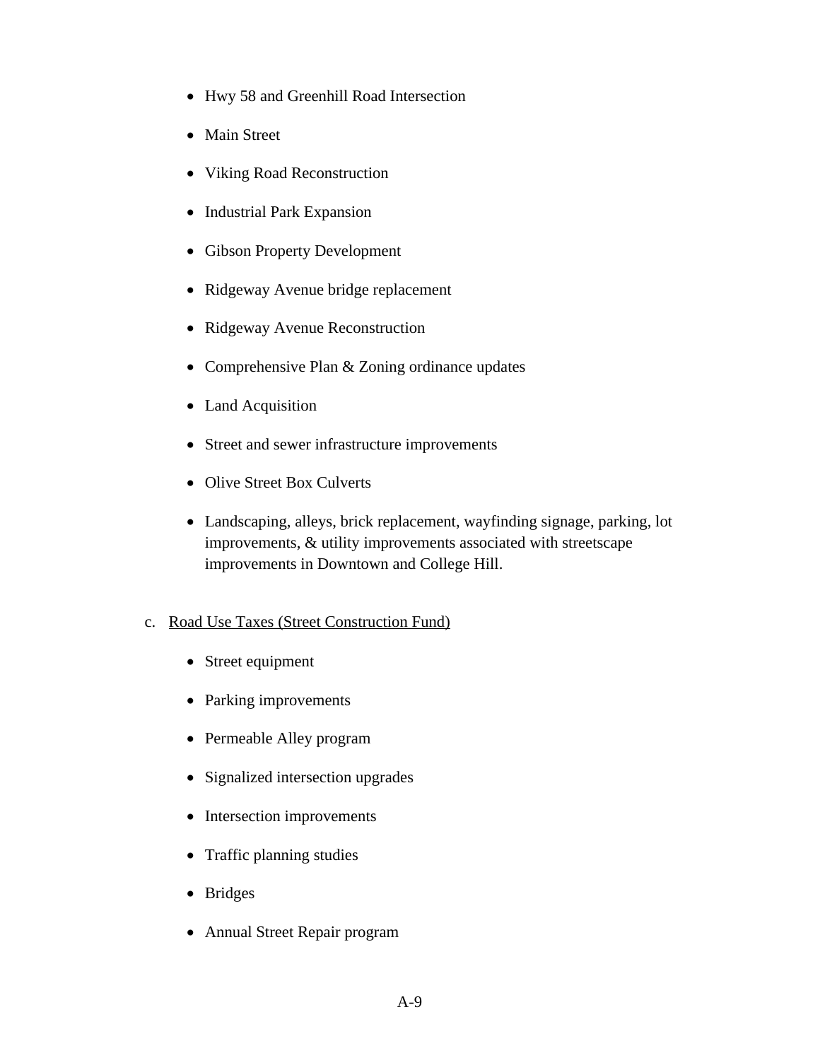- Hwy 58 and Greenhill Road Intersection
- Main Street
- Viking Road Reconstruction
- Industrial Park Expansion
- Gibson Property Development
- Ridgeway Avenue bridge replacement
- Ridgeway Avenue Reconstruction
- Comprehensive Plan & Zoning ordinance updates
- Land Acquisition
- Street and sewer infrastructure improvements
- Olive Street Box Culverts
- Landscaping, alleys, brick replacement, wayfinding signage, parking, lot improvements, & utility improvements associated with streetscape improvements in Downtown and College Hill.

#### c. Road Use Taxes (Street Construction Fund)

- Street equipment
- Parking improvements
- Permeable Alley program
- Signalized intersection upgrades
- Intersection improvements
- Traffic planning studies
- Bridges
- Annual Street Repair program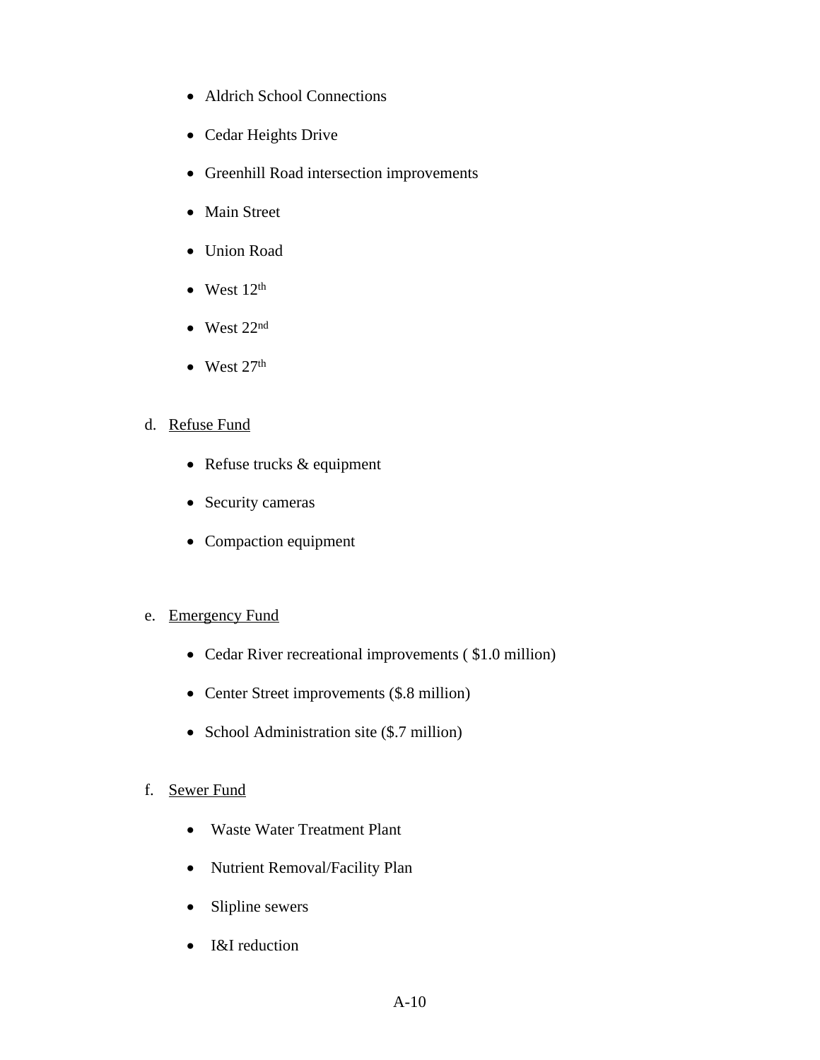- Aldrich School Connections
- Cedar Heights Drive
- Greenhill Road intersection improvements
- Main Street
- Union Road
- $\bullet$  West  $12<sup>th</sup>$
- West 22nd
- $\bullet$  West 27<sup>th</sup>
- d. Refuse Fund
	- Refuse trucks & equipment
	- Security cameras
	- Compaction equipment

#### e. Emergency Fund

- Cedar River recreational improvements (\$1.0 million)
- Center Street improvements (\$.8 million)
- School Administration site (\$.7 million)

#### f. Sewer Fund

- Waste Water Treatment Plant
- Nutrient Removal/Facility Plan
- Slipline sewers
- I&I reduction